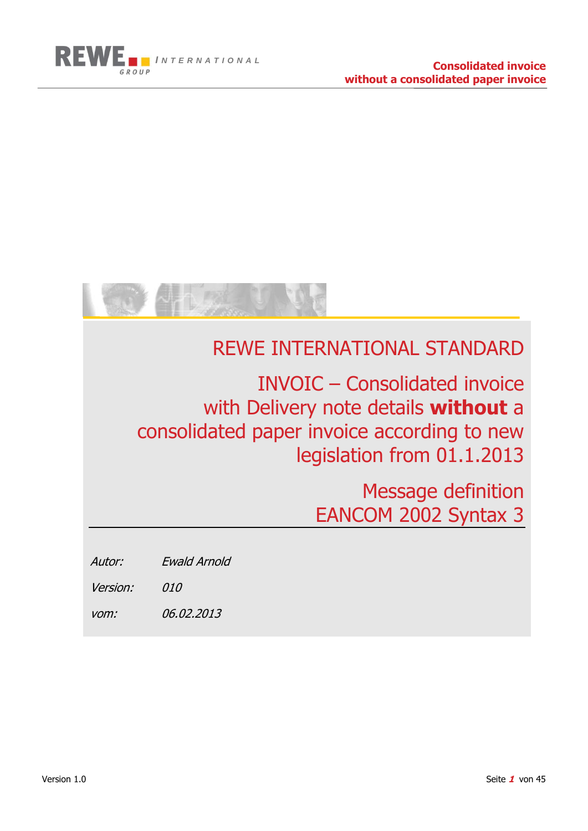



## REWE INTERNATIONAL STANDARD

## INVOIC – Consolidated invoice with Delivery note details **without** a consolidated paper invoice according to new legislation from 01.1.2013

Message definition EANCOM 2002 Syntax 3

Autor: Ewald Arnold

Version: 010

vom: 06.02.2013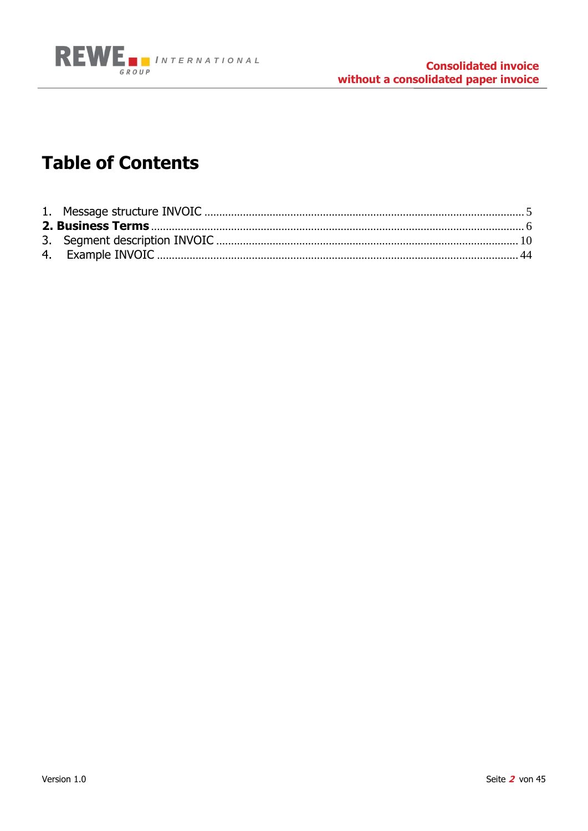

## **Table of Contents**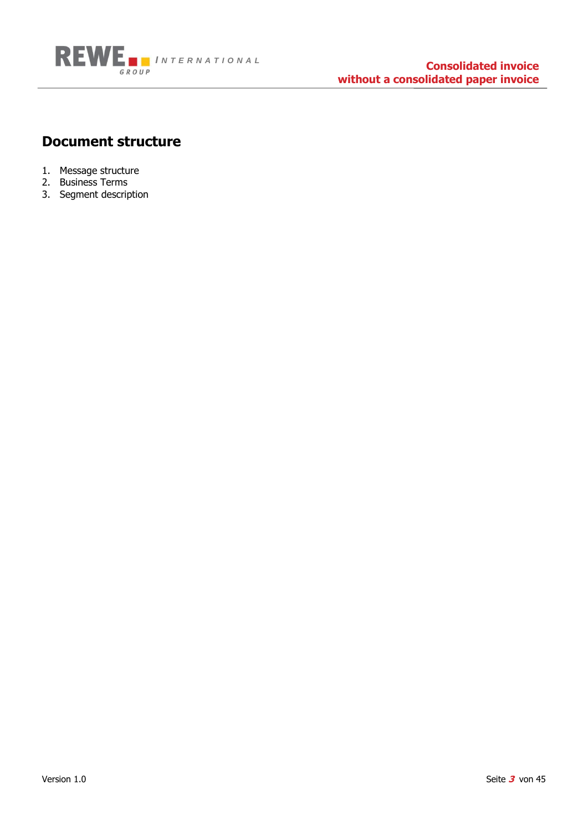

#### **Document structure**

- 1. Message structure
- 2. Business Terms
- 3. Segment description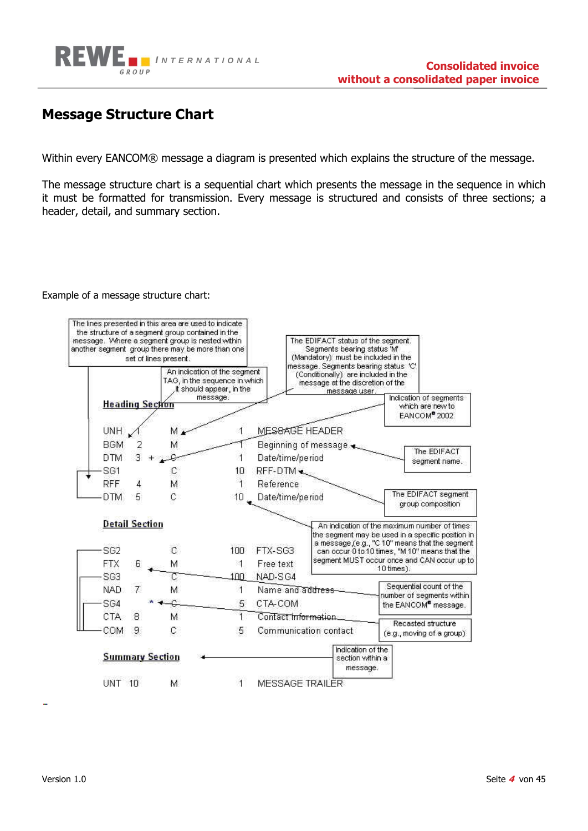

#### **Message Structure Chart**

Within every EANCOM® message a diagram is presented which explains the structure of the message.

The message structure chart is a sequential chart which presents the message in the sequence in which it must be formatted for transmission. Every message is structured and consists of three sections; a header, detail, and summary section.

#### Example of a message structure chart:

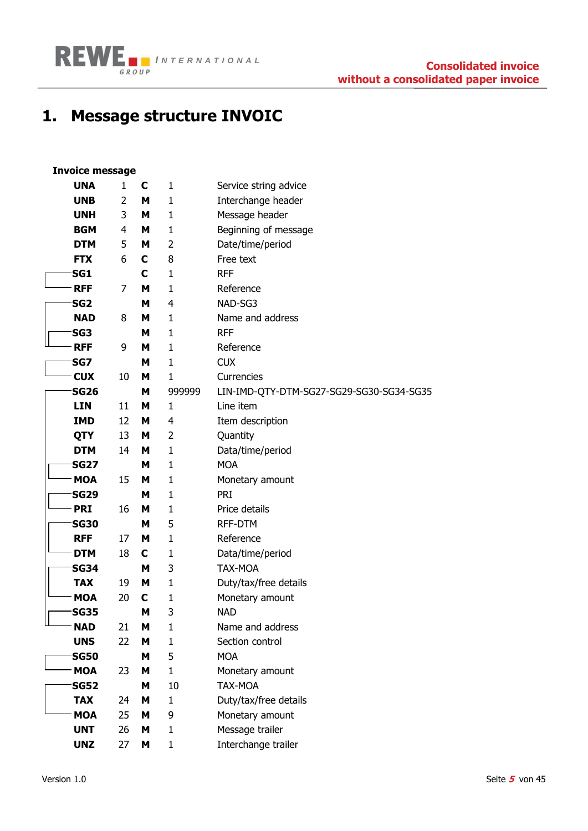

## <span id="page-4-0"></span>**1. Message structure INVOIC**

## **Invoice message**

|                 | <b>UNA</b>  | 1  | C | $\mathbf{1}$ | Service string advice                    |
|-----------------|-------------|----|---|--------------|------------------------------------------|
|                 | <b>UNB</b>  | 2  | M | $\mathbf{1}$ |                                          |
|                 |             |    |   |              | Interchange header                       |
|                 | <b>UNH</b>  | 3  | Μ | $\mathbf{1}$ | Message header                           |
|                 | <b>BGM</b>  | 4  | М | 1            | Beginning of message                     |
|                 | <b>DTM</b>  | 5  | Μ | 2            | Date/time/period                         |
| <b>FTX</b>      |             | 6  | C | 8            | Free text                                |
| SG1             |             |    | C | $\mathbf 1$  | <b>RFF</b>                               |
| <b>RFF</b>      |             | 7  | М | $\mathbf{1}$ | Reference                                |
| SG <sub>2</sub> |             |    | М | 4            | NAD-SG3                                  |
|                 | <b>NAD</b>  | 8  | М | $\mathbf{1}$ | Name and address                         |
| SG <sub>3</sub> |             |    | М | $\mathbf{1}$ | <b>RFF</b>                               |
| <b>RFF</b>      |             | 9  | М | $\mathbf{1}$ | Reference                                |
| SG7             |             |    | м | $\mathbf{1}$ | <b>CUX</b>                               |
| <b>CUX</b>      |             | 10 | М | $\mathbf{1}$ | Currencies                               |
|                 | <b>SG26</b> |    | M | 999999       | LIN-IMD-QTY-DTM-SG27-SG29-SG30-SG34-SG35 |
| <b>LIN</b>      |             | 11 | М | $\mathbf{1}$ | Line item                                |
|                 | <b>IMD</b>  | 12 | М | 4            | Item description                         |
| QTY             |             | 13 | М | 2            | Quantity                                 |
|                 | <b>DTM</b>  | 14 | М | $\mathbf{1}$ | Data/time/period                         |
|                 | <b>SG27</b> |    | м | $\mathbf{1}$ | <b>MOA</b>                               |
|                 | <b>MOA</b>  | 15 | м | $\mathbf{1}$ | Monetary amount                          |
|                 | <b>SG29</b> |    | М | $\mathbf{1}$ | PRI                                      |
| <b>PRI</b>      |             | 16 | м | $\mathbf 1$  | Price details                            |
|                 | <b>SG30</b> |    | М | 5            | RFF-DTM                                  |
| <b>RFF</b>      |             | 17 | м | $\mathbf{1}$ | Reference                                |
|                 | <b>DTM</b>  | 18 | C | $\mathbf 1$  | Data/time/period                         |
|                 | <b>SG34</b> |    | M | 3            | TAX-MOA                                  |
| <b>TAX</b>      |             | 19 | M | $\mathbf{1}$ | Duty/tax/free details                    |
|                 | <b>MOA</b>  | 20 | C | 1            | Monetary amount                          |
|                 | <b>SG35</b> |    | M | 3            | <b>NAD</b>                               |
| Ш               | <b>NAD</b>  | 21 | M | $\mathbf{1}$ | Name and address                         |
|                 | <b>UNS</b>  | 22 | М | $\mathbf 1$  | Section control                          |
|                 | <b>SG50</b> |    | M | 5            | <b>MOA</b>                               |
|                 | <b>MOA</b>  | 23 | M | $\mathbf{1}$ | Monetary amount                          |
|                 | <b>SG52</b> |    | М | 10           | TAX-MOA                                  |
|                 | <b>TAX</b>  | 24 | М | $\mathbf{1}$ | Duty/tax/free details                    |
|                 | <b>MOA</b>  | 25 | M | 9            | Monetary amount                          |
|                 | <b>UNT</b>  | 26 | M | $\mathbf 1$  | Message trailer                          |
|                 | <b>UNZ</b>  | 27 | M | $\mathbf{1}$ | Interchange trailer                      |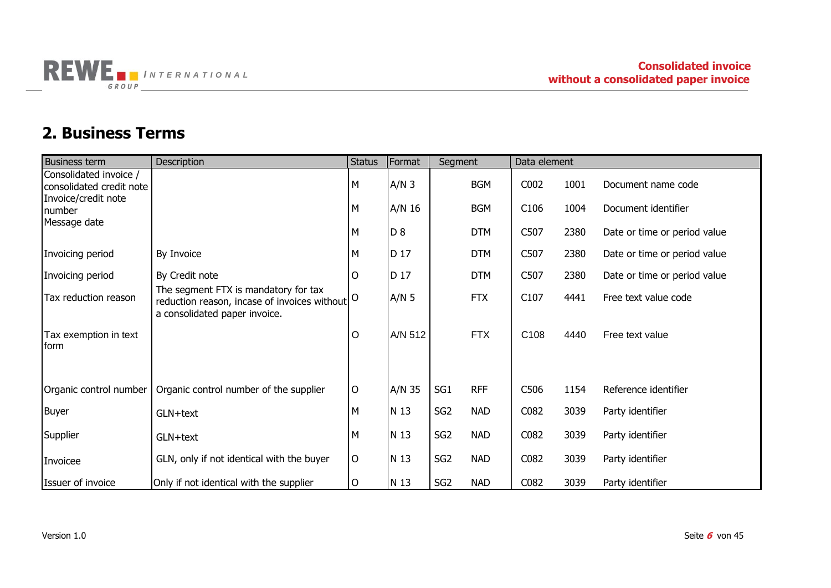

### **2. Business Terms**

<span id="page-5-0"></span>

| <b>Business term</b>                               | Description                                                                                                                        | <b>Status</b> | Format  | Segment         |            | Data element |      |                              |
|----------------------------------------------------|------------------------------------------------------------------------------------------------------------------------------------|---------------|---------|-----------------|------------|--------------|------|------------------------------|
| Consolidated invoice /<br>consolidated credit note |                                                                                                                                    | M             | $A/N$ 3 |                 | <b>BGM</b> | C002         | 1001 | Document name code           |
| Invoice/credit note<br>number                      |                                                                                                                                    | M             | A/N 16  |                 | <b>BGM</b> | C106         | 1004 | Document identifier          |
| Message date                                       |                                                                                                                                    | M             | D 8     |                 | <b>DTM</b> | C507         | 2380 | Date or time or period value |
| Invoicing period                                   | By Invoice                                                                                                                         | M             | D 17    |                 | <b>DTM</b> | C507         | 2380 | Date or time or period value |
| Invoicing period                                   | By Credit note                                                                                                                     | O             | D 17    |                 | <b>DTM</b> | C507         | 2380 | Date or time or period value |
| Tax reduction reason                               | The segment FTX is mandatory for tax<br>reduction reason, incase of invoices without $ 0 \rangle$<br>a consolidated paper invoice. |               | $A/N$ 5 |                 | <b>FTX</b> | C107         | 4441 | Free text value code         |
| Tax exemption in text<br>form                      |                                                                                                                                    | O             | A/N 512 |                 | <b>FTX</b> | C108         | 4440 | Free text value              |
| Organic control number                             | Organic control number of the supplier                                                                                             | O             | A/N 35  | SG1             | <b>RFF</b> | C506         | 1154 | Reference identifier         |
| <b>Buyer</b>                                       | GLN+text                                                                                                                           | M             | N 13    | SG <sub>2</sub> | <b>NAD</b> | C082         | 3039 | Party identifier             |
| Supplier                                           | GLN+text                                                                                                                           | M             | N 13    | SG <sub>2</sub> | <b>NAD</b> | C082         | 3039 | Party identifier             |
| Invoicee                                           | GLN, only if not identical with the buyer                                                                                          | O             | N 13    | SG <sub>2</sub> | <b>NAD</b> | C082         | 3039 | Party identifier             |
| Issuer of invoice                                  | Only if not identical with the supplier                                                                                            | O             | N 13    | SG <sub>2</sub> | <b>NAD</b> | C082         | 3039 | Party identifier             |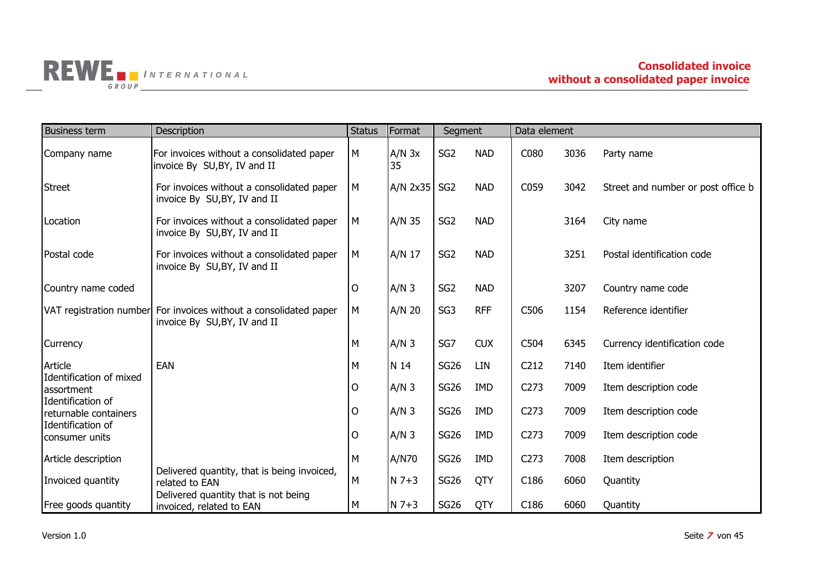

| <b>Business term</b>                       | Description                                                                                       | <b>Status</b> | Format           | Segment         |            | Data element     |      |                                    |
|--------------------------------------------|---------------------------------------------------------------------------------------------------|---------------|------------------|-----------------|------------|------------------|------|------------------------------------|
| Company name                               | For invoices without a consolidated paper<br>invoice By SU, BY, IV and II                         | М             | $A/N$ 3x<br>35   | SG <sub>2</sub> | <b>NAD</b> | C080             | 3036 | Party name                         |
| <b>Street</b>                              | For invoices without a consolidated paper<br>invoice By SU, BY, IV and II                         | M             | $A/N$ 2x35       | SG <sub>2</sub> | <b>NAD</b> | C059             | 3042 | Street and number or post office b |
| Location                                   | For invoices without a consolidated paper<br>invoice By SU, BY, IV and II                         | M             | A/N 35           | SG <sub>2</sub> | <b>NAD</b> |                  | 3164 | City name                          |
| Postal code                                | For invoices without a consolidated paper<br>invoice By SU, BY, IV and II                         | M             | A/N 17           | SG <sub>2</sub> | <b>NAD</b> |                  | 3251 | Postal identification code         |
| Country name coded                         |                                                                                                   | O             | $A/N$ 3          | SG <sub>2</sub> | <b>NAD</b> |                  | 3207 | Country name code                  |
|                                            | VAT registration number For invoices without a consolidated paper<br>invoice By SU, BY, IV and II | M             | $A/N$ 20         | SG <sub>3</sub> | <b>RFF</b> | C506             | 1154 | Reference identifier               |
| <b>Currency</b>                            |                                                                                                   | М             | $A/N$ 3          | SG7             | <b>CUX</b> | C504             | 6345 | Currency identification code       |
| Article                                    | <b>EAN</b>                                                                                        | м             | N 14             | <b>SG26</b>     | LIN        | C <sub>212</sub> | 7140 | Item identifier                    |
| Identification of mixed<br>assortment      |                                                                                                   | 0             | $A/N$ 3          | <b>SG26</b>     | <b>IMD</b> | C <sub>273</sub> | 7009 | Item description code              |
| Identification of<br>returnable containers |                                                                                                   | Ω             | $A/N$ 3          | <b>SG26</b>     | <b>IMD</b> | C <sub>273</sub> | 7009 | Item description code              |
| Identification of<br>consumer units        |                                                                                                   | 0             | A/N <sub>3</sub> | <b>SG26</b>     | <b>IMD</b> | C <sub>273</sub> | 7009 | Item description code              |
| Article description                        |                                                                                                   | М             | A/N70            | <b>SG26</b>     | <b>IMD</b> | C <sub>273</sub> | 7008 | Item description                   |
| Invoiced quantity                          | Delivered quantity, that is being invoiced,<br>related to EAN                                     | M             | $N$ 7+3          | <b>SG26</b>     | QTY        | C186             | 6060 | Quantity                           |
| Free goods quantity                        | Delivered quantity that is not being<br>invoiced, related to EAN                                  | M             | $N$ 7+3          | <b>SG26</b>     | QTY        | C186             | 6060 | Quantity                           |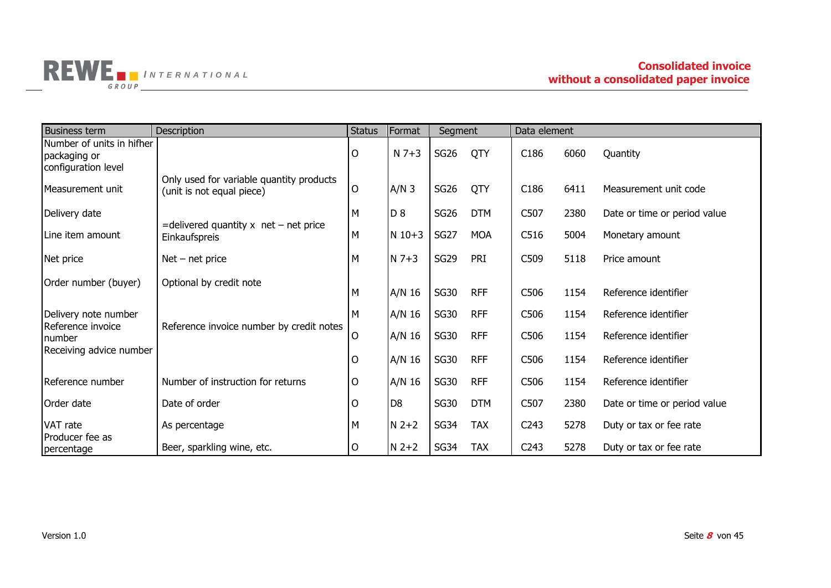

| <b>Business term</b>                                             | <b>Description</b>                                                    | <b>Status</b> | Format         | Segment          |            | Data element     |      |                              |
|------------------------------------------------------------------|-----------------------------------------------------------------------|---------------|----------------|------------------|------------|------------------|------|------------------------------|
| Number of units in hifher<br>packaging or<br>configuration level |                                                                       | $\mathsf{O}$  | $N$ 7+3        | SG <sub>26</sub> | QTY        | C <sub>186</sub> | 6060 | Quantity                     |
| Measurement unit                                                 | Only used for variable quantity products<br>(unit is not equal piece) | $\mathsf{O}$  | $A/N$ 3        | <b>SG26</b>      | QTY        | C <sub>186</sub> | 6411 | Measurement unit code        |
| Delivery date                                                    |                                                                       | M             | D <sub>8</sub> | <b>SG26</b>      | <b>DTM</b> | C507             | 2380 | Date or time or period value |
| Line item amount                                                 | $=$ delivered quantity x net – net price<br>Einkaufspreis             | M             | $N$ 10+3       | <b>SG27</b>      | <b>MOA</b> | C516             | 5004 | Monetary amount              |
| Net price                                                        | $Net - net price$                                                     | M             | $N$ 7+3        | <b>SG29</b>      | PRI        | C509             | 5118 | Price amount                 |
| Order number (buyer)                                             | Optional by credit note                                               | M             | A/N 16         | <b>SG30</b>      | <b>RFF</b> | C506             | 1154 | Reference identifier         |
| Delivery note number                                             |                                                                       | М             | A/N 16         | <b>SG30</b>      | <b>RFF</b> | C506             | 1154 | Reference identifier         |
| Reference invoice<br>number<br>Receiving advice number           | Reference invoice number by credit notes                              | $\mathsf{O}$  | A/N 16         | <b>SG30</b>      | <b>RFF</b> | C506             | 1154 | Reference identifier         |
|                                                                  |                                                                       | O             | A/N 16         | <b>SG30</b>      | <b>RFF</b> | C506             | 1154 | Reference identifier         |
| Reference number                                                 | Number of instruction for returns                                     | O             | A/N 16         | <b>SG30</b>      | <b>RFF</b> | C506             | 1154 | Reference identifier         |
| Order date                                                       | Date of order                                                         | $\mathsf{O}$  | D <sub>8</sub> | <b>SG30</b>      | <b>DTM</b> | C507             | 2380 | Date or time or period value |
| VAT rate                                                         | As percentage                                                         | M             | $N$ 2+2        | <b>SG34</b>      | <b>TAX</b> | C <sub>243</sub> | 5278 | Duty or tax or fee rate      |
| Producer fee as<br>percentage                                    | Beer, sparkling wine, etc.                                            | 0             | $N$ 2+2        | <b>SG34</b>      | <b>TAX</b> | C <sub>243</sub> | 5278 | Duty or tax or fee rate      |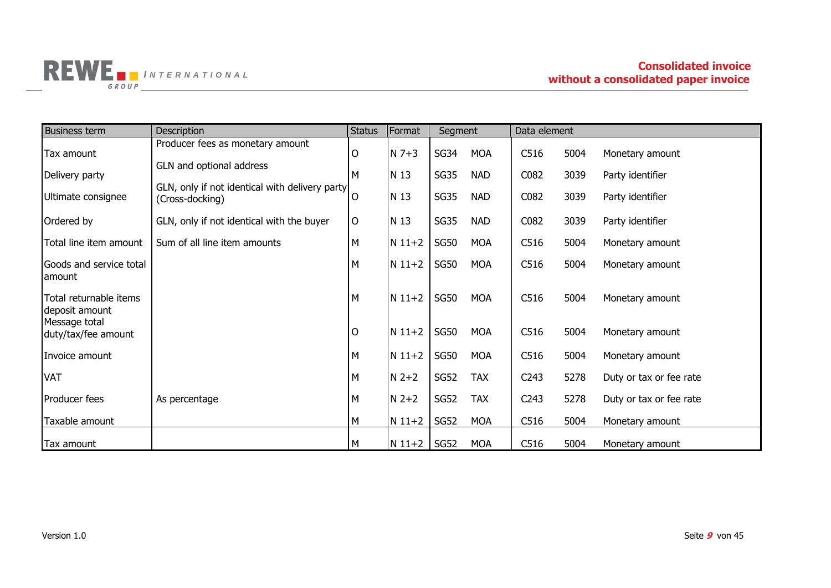

| <b>Business term</b>                     | <b>Description</b>                                                | <b>Status</b>  | Format     | Segment     |            | Data element     |      |                         |
|------------------------------------------|-------------------------------------------------------------------|----------------|------------|-------------|------------|------------------|------|-------------------------|
| Tax amount                               | Producer fees as monetary amount                                  | $\mathsf{O}$   | $N$ 7+3    | <b>SG34</b> | <b>MOA</b> | C516             | 5004 | Monetary amount         |
| Delivery party                           | GLN and optional address                                          | М              | N 13       | <b>SG35</b> | <b>NAD</b> | C082             | 3039 | Party identifier        |
| Ultimate consignee                       | GLN, only if not identical with delivery party<br>(Cross-docking) | $\overline{O}$ | N 13       | <b>SG35</b> | <b>NAD</b> | C082             | 3039 | Party identifier        |
| Ordered by                               | GLN, only if not identical with the buyer                         | $\mathsf{O}$   | N 13       | <b>SG35</b> | <b>NAD</b> | C082             | 3039 | Party identifier        |
| Total line item amount                   | Sum of all line item amounts                                      | M              | $N 11+2$   | <b>SG50</b> | <b>MOA</b> | C516             | 5004 | Monetary amount         |
| Goods and service total<br>lamount       |                                                                   | M              | $N 11+2$   | <b>SG50</b> | <b>MOA</b> | C516             | 5004 | Monetary amount         |
| Total returnable items<br>deposit amount |                                                                   | M              | $N 11+2$   | <b>SG50</b> | <b>MOA</b> | C516             | 5004 | Monetary amount         |
| Message total<br>duty/tax/fee amount     |                                                                   | $\circ$        | $N 11+2$   | <b>SG50</b> | <b>MOA</b> | C516             | 5004 | Monetary amount         |
| Invoice amount                           |                                                                   | M              | $N 11+2$   | <b>SG50</b> | <b>MOA</b> | C516             | 5004 | Monetary amount         |
| <b>VAT</b>                               |                                                                   | M              | $N$ 2+2    | <b>SG52</b> | <b>TAX</b> | C <sub>243</sub> | 5278 | Duty or tax or fee rate |
| Producer fees                            | As percentage                                                     | M              | $N$ 2+2    | <b>SG52</b> | <b>TAX</b> | C <sub>243</sub> | 5278 | Duty or tax or fee rate |
| Taxable amount                           |                                                                   | M              | $N 11 + 2$ | <b>SG52</b> | <b>MOA</b> | C516             | 5004 | Monetary amount         |
| Tax amount                               |                                                                   | M              | $N$ 11+2   | <b>SG52</b> | <b>MOA</b> | C516             | 5004 | Monetary amount         |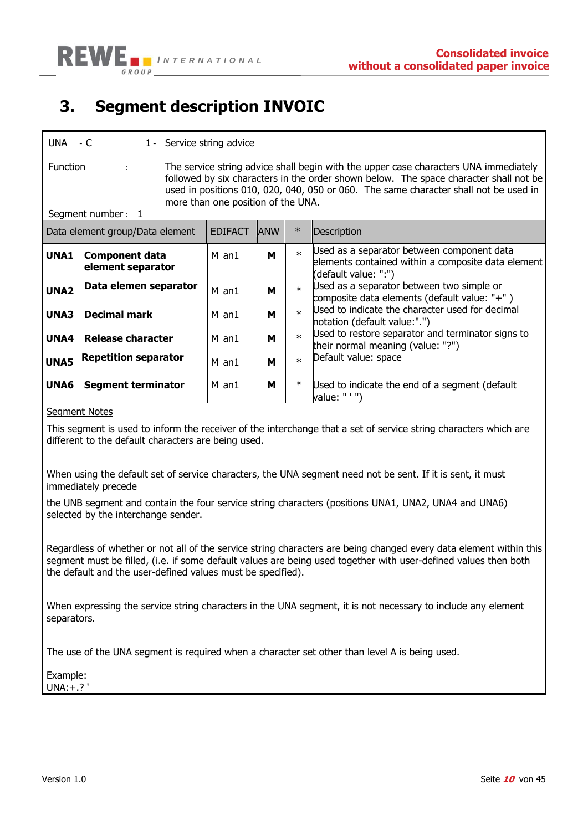## <span id="page-9-0"></span>**3. Segment description INVOIC**

| $UNA - C$                                                                                                                                                                                                                                                                                                                                                | 1 - Service string advice |             |        |                                                                                                                          |  |  |  |  |
|----------------------------------------------------------------------------------------------------------------------------------------------------------------------------------------------------------------------------------------------------------------------------------------------------------------------------------------------------------|---------------------------|-------------|--------|--------------------------------------------------------------------------------------------------------------------------|--|--|--|--|
| <b>Function</b><br>The service string advice shall begin with the upper case characters UNA immediately<br>÷<br>followed by six characters in the order shown below. The space character shall not be<br>used in positions 010, 020, 040, 050 or 060. The same character shall not be used in<br>more than one position of the UNA.<br>Segment number: 1 |                           |             |        |                                                                                                                          |  |  |  |  |
| Data element group/Data element                                                                                                                                                                                                                                                                                                                          | <b>EDIFACT</b>            | <b>JANW</b> | $\ast$ | Description                                                                                                              |  |  |  |  |
| UNA1<br><b>Component data</b><br>element separator                                                                                                                                                                                                                                                                                                       | $M$ an1                   | м           | $\ast$ | Used as a separator between component data<br>elements contained within a composite data element<br>(default value: ":") |  |  |  |  |
| Data elemen separator<br>UNA <sub>2</sub>                                                                                                                                                                                                                                                                                                                | $M$ an1                   | м           | $\ast$ | Used as a separator between two simple or<br>composite data elements (default value: "+")                                |  |  |  |  |
| <b>Decimal mark</b><br><b>UNA3</b>                                                                                                                                                                                                                                                                                                                       | M an1                     | м           | $\ast$ | Used to indicate the character used for decimal<br>notation (default value:".")                                          |  |  |  |  |
| Release character<br>UNA4                                                                                                                                                                                                                                                                                                                                | M an1                     | м           | $\ast$ | Used to restore separator and terminator signs to<br>their normal meaning (value: "?")                                   |  |  |  |  |
| <b>Repetition separator</b><br>UNA5                                                                                                                                                                                                                                                                                                                      | M an1                     | м           | $\ast$ | Default value: space                                                                                                     |  |  |  |  |
| UNA6<br><b>Segment terminator</b>                                                                                                                                                                                                                                                                                                                        | M an1                     | м           | $\ast$ | Used to indicate the end of a segment (default<br>value: " ' ")                                                          |  |  |  |  |

#### Segment Notes

This segment is used to inform the receiver of the interchange that a set of service string characters which are different to the default characters are being used.

When using the default set of service characters, the UNA segment need not be sent. If it is sent, it must immediately precede

the UNB segment and contain the four service string characters (positions UNA1, UNA2, UNA4 and UNA6) selected by the interchange sender.

Regardless of whether or not all of the service string characters are being changed every data element within this segment must be filled, (i.e. if some default values are being used together with user-defined values then both the default and the user-defined values must be specified).

When expressing the service string characters in the UNA segment, it is not necessary to include any element separators.

The use of the UNA segment is required when a character set other than level A is being used.

Example: UNA:+.? '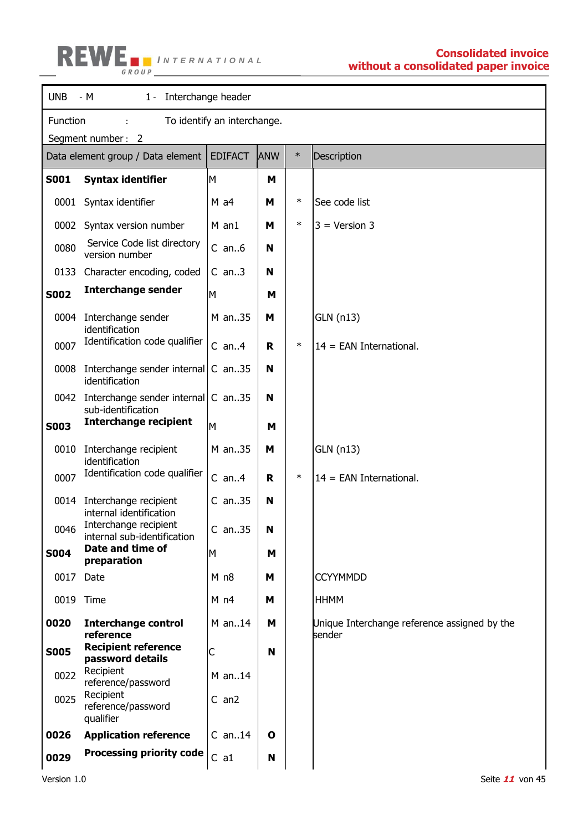

| <b>UNB</b>  | 1 - Interchange header<br>– M                            |                 |             |        |                                                        |  |  |  |
|-------------|----------------------------------------------------------|-----------------|-------------|--------|--------------------------------------------------------|--|--|--|
|             | Function<br>To identify an interchange.                  |                 |             |        |                                                        |  |  |  |
|             | Segment number: 2                                        | <b>EDIFACT</b>  | <b>ANW</b>  | $\ast$ |                                                        |  |  |  |
|             | Data element group / Data element                        |                 |             |        | Description                                            |  |  |  |
| <b>S001</b> | <b>Syntax identifier</b>                                 | M               | M           |        |                                                        |  |  |  |
| 0001        | Syntax identifier                                        | $M$ a4          | Μ           | $\ast$ | See code list                                          |  |  |  |
| 0002        | Syntax version number                                    | $M$ an1         | Μ           | $\ast$ | $3 = Version 3$                                        |  |  |  |
| 0080        | Service Code list directory<br>version number            | $C$ an $6$      | N           |        |                                                        |  |  |  |
| 0133        | Character encoding, coded                                | $C$ an3         | N           |        |                                                        |  |  |  |
| <b>S002</b> | <b>Interchange sender</b>                                | M               | M           |        |                                                        |  |  |  |
| 0004        | Interchange sender<br>identification                     | M an35          | М           |        | GLN (n13)                                              |  |  |  |
| 0007        | Identification code qualifier                            | $C$ an $4$      | R           | $\ast$ | $14 = EAN International.$                              |  |  |  |
| 0008        | Interchange sender internal<br>identification            | $C$ an35        | N           |        |                                                        |  |  |  |
| 0042        | Interchange sender internal C an35<br>sub-identification |                 | N           |        |                                                        |  |  |  |
| <b>S003</b> | <b>Interchange recipient</b>                             | M               | M           |        |                                                        |  |  |  |
| 0010        | Interchange recipient<br>identification                  | M an35          | М           |        | GLN (n13)                                              |  |  |  |
| 0007        | Identification code qualifier                            | $C$ an $4$      | R           | $\ast$ | $14 = EAN International.$                              |  |  |  |
| 0014        | Interchange recipient<br>internal identification         | $C$ an35        | N           |        |                                                        |  |  |  |
| 0046        | Interchange recipient<br>internal sub-identification     | $C$ an35        | N           |        |                                                        |  |  |  |
| <b>S004</b> | Date and time of<br>preparation                          | M               | M           |        |                                                        |  |  |  |
| 0017 Date   |                                                          | M n8            | М           |        | <b>CCYYMMDD</b>                                        |  |  |  |
|             | 0019 Time                                                | M <sub>n4</sub> | M           |        | <b>HHMM</b>                                            |  |  |  |
| 0020        | <b>Interchange control</b><br>reference                  | $M$ an14        | M           |        | Unique Interchange reference assigned by the<br>sender |  |  |  |
| <b>S005</b> | <b>Recipient reference</b><br>password details           | С               | N           |        |                                                        |  |  |  |
| 0022        | Recipient<br>reference/password                          | $M$ an14        |             |        |                                                        |  |  |  |
| 0025        | Recipient<br>reference/password<br>qualifier             | $C$ an $2$      |             |        |                                                        |  |  |  |
| 0026        | <b>Application reference</b>                             | $C$ an14        | $\mathbf o$ |        |                                                        |  |  |  |
| 0029        | <b>Processing priority code</b>                          | C a1            | N           |        |                                                        |  |  |  |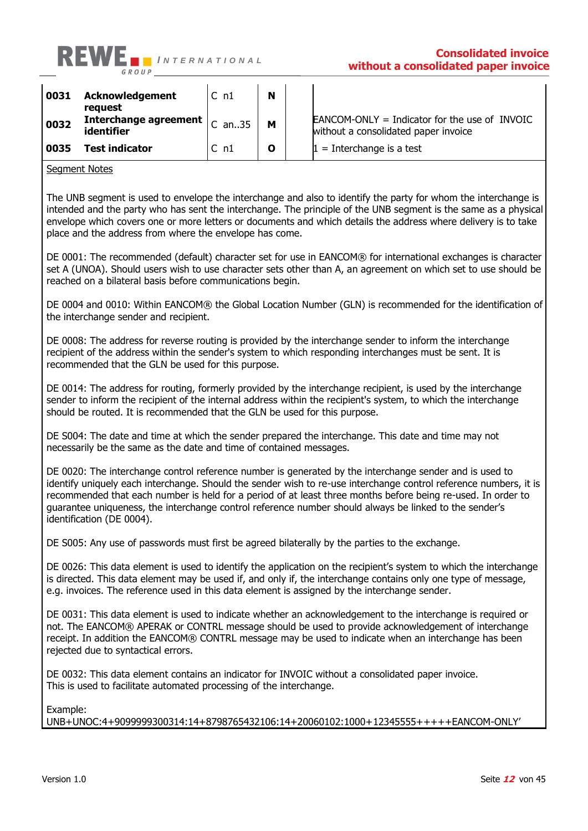

| 0031 | <b>Acknowledgement</b><br>reauest                                 | IC n1        | N            |                                                                                         |
|------|-------------------------------------------------------------------|--------------|--------------|-----------------------------------------------------------------------------------------|
| 0032 | Interchange agreement $ _{\text{C} \text{ an.}.35}$<br>identifier |              | M            | $EANCOM-ONLY = Indicator$ for the use of INVOIC<br>without a consolidated paper invoice |
| 0035 | Test indicator                                                    | $\subset$ n1 | $\mathbf{o}$ | $1 =$ Interchange is a test                                                             |

#### Segment Notes

The UNB segment is used to envelope the interchange and also to identify the party for whom the interchange is intended and the party who has sent the interchange. The principle of the UNB segment is the same as a physical envelope which covers one or more letters or documents and which details the address where delivery is to take place and the address from where the envelope has come.

DE 0001: The recommended (default) character set for use in EANCOM® for international exchanges is character set A (UNOA). Should users wish to use character sets other than A, an agreement on which set to use should be reached on a bilateral basis before communications begin.

DE 0004 and 0010: Within EANCOM® the Global Location Number (GLN) is recommended for the identification of the interchange sender and recipient.

DE 0008: The address for reverse routing is provided by the interchange sender to inform the interchange recipient of the address within the sender's system to which responding interchanges must be sent. It is recommended that the GLN be used for this purpose.

DE 0014: The address for routing, formerly provided by the interchange recipient, is used by the interchange sender to inform the recipient of the internal address within the recipient's system, to which the interchange should be routed. It is recommended that the GLN be used for this purpose.

DE S004: The date and time at which the sender prepared the interchange. This date and time may not necessarily be the same as the date and time of contained messages.

DE 0020: The interchange control reference number is generated by the interchange sender and is used to identify uniquely each interchange. Should the sender wish to re-use interchange control reference numbers, it is recommended that each number is held for a period of at least three months before being re-used. In order to guarantee uniqueness, the interchange control reference number should always be linked to the sender's identification (DE 0004).

DE S005: Any use of passwords must first be agreed bilaterally by the parties to the exchange.

DE 0026: This data element is used to identify the application on the recipient's system to which the interchange is directed. This data element may be used if, and only if, the interchange contains only one type of message, e.g. invoices. The reference used in this data element is assigned by the interchange sender.

DE 0031: This data element is used to indicate whether an acknowledgement to the interchange is required or not. The EANCOM® APERAK or CONTRL message should be used to provide acknowledgement of interchange receipt. In addition the EANCOM® CONTRL message may be used to indicate when an interchange has been rejected due to syntactical errors.

DE 0032: This data element contains an indicator for INVOIC without a consolidated paper invoice. This is used to facilitate automated processing of the interchange.

Example:

UNB+UNOC:4+9099999300314:14+8798765432106:14+20060102:1000+12345555+++++EANCOM-ONLY'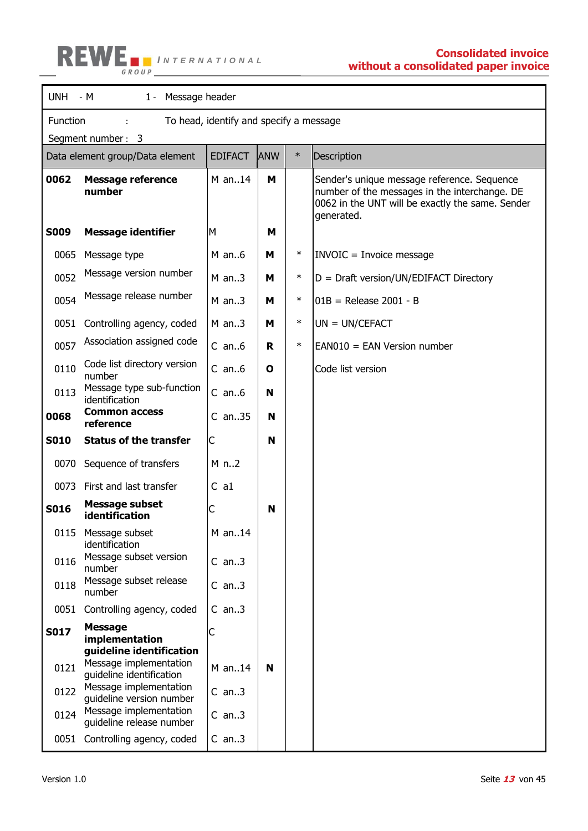

T

 $\blacksquare$ 

| <b>UNH</b>        | - M<br>$1 -$<br>Message header                                                 |                |            |        |                                                                                                                                                                |  |  |  |
|-------------------|--------------------------------------------------------------------------------|----------------|------------|--------|----------------------------------------------------------------------------------------------------------------------------------------------------------------|--|--|--|
|                   | Function<br>To head, identify and specify a message                            |                |            |        |                                                                                                                                                                |  |  |  |
| Segment number: 3 |                                                                                |                |            |        |                                                                                                                                                                |  |  |  |
|                   | Data element group/Data element                                                | <b>EDIFACT</b> | <b>ANW</b> | $\ast$ | Description                                                                                                                                                    |  |  |  |
| 0062              | <b>Message reference</b><br>number                                             | $M$ an14       | M          |        | Sender's unique message reference. Sequence<br>number of the messages in the interchange. DE<br>0062 in the UNT will be exactly the same. Sender<br>generated. |  |  |  |
| <b>S009</b>       | <b>Message identifier</b>                                                      | M              | м          |        |                                                                                                                                                                |  |  |  |
| 0065              | Message type                                                                   | $M$ an6        | м          | $\ast$ | <b>INVOIC = Invoice message</b>                                                                                                                                |  |  |  |
| 0052              | Message version number                                                         | $M$ an3        | м          | $\ast$ | $D = Draff version/UN/EDIFACT Directory$                                                                                                                       |  |  |  |
| 0054              | Message release number                                                         | $M$ an3        | м          | $\ast$ | $01B$ = Release 2001 - B                                                                                                                                       |  |  |  |
| 0051              | Controlling agency, coded                                                      | $M$ an3        | м          | $\ast$ | $UN = UN/CEPTACT$                                                                                                                                              |  |  |  |
| 0057              | Association assigned code                                                      | $C$ an $6$     | R          | $\ast$ | $EANO10 = EAN Version number$                                                                                                                                  |  |  |  |
| 0110              | Code list directory version<br>number                                          | $C$ an $6$     | O          |        | Code list version                                                                                                                                              |  |  |  |
| 0113              | Message type sub-function<br>identification                                    | $C$ an $6$     | N          |        |                                                                                                                                                                |  |  |  |
| 0068              | <b>Common access</b><br>reference                                              | $C$ an. 35     | N          |        |                                                                                                                                                                |  |  |  |
| <b>S010</b>       | <b>Status of the transfer</b>                                                  | С              | N          |        |                                                                                                                                                                |  |  |  |
| 0070              | Sequence of transfers                                                          | M n2           |            |        |                                                                                                                                                                |  |  |  |
| 0073              | First and last transfer                                                        | $C$ a1         |            |        |                                                                                                                                                                |  |  |  |
| <b>S016</b>       | <b>Message subset</b><br>identification                                        | С              | N          |        |                                                                                                                                                                |  |  |  |
| 0115              | Message subset<br>identification                                               | M an14         |            |        |                                                                                                                                                                |  |  |  |
| 0116              | Message subset version<br>number                                               | $C$ an3        |            |        |                                                                                                                                                                |  |  |  |
| 0118              | Message subset release<br>number                                               | $C$ an3        |            |        |                                                                                                                                                                |  |  |  |
| 0051              | Controlling agency, coded                                                      | $C$ an3        |            |        |                                                                                                                                                                |  |  |  |
| <b>S017</b>       | <b>Message</b><br>implementation                                               | С              |            |        |                                                                                                                                                                |  |  |  |
| 0121              | guideline identification<br>Message implementation<br>guideline identification | M an14         | N          |        |                                                                                                                                                                |  |  |  |
| 0122              | Message implementation<br>guideline version number                             | $C$ an3        |            |        |                                                                                                                                                                |  |  |  |
| 0124              | Message implementation<br>guideline release number                             | $C$ an3        |            |        |                                                                                                                                                                |  |  |  |
| 0051              | Controlling agency, coded                                                      | $C$ an3        |            |        |                                                                                                                                                                |  |  |  |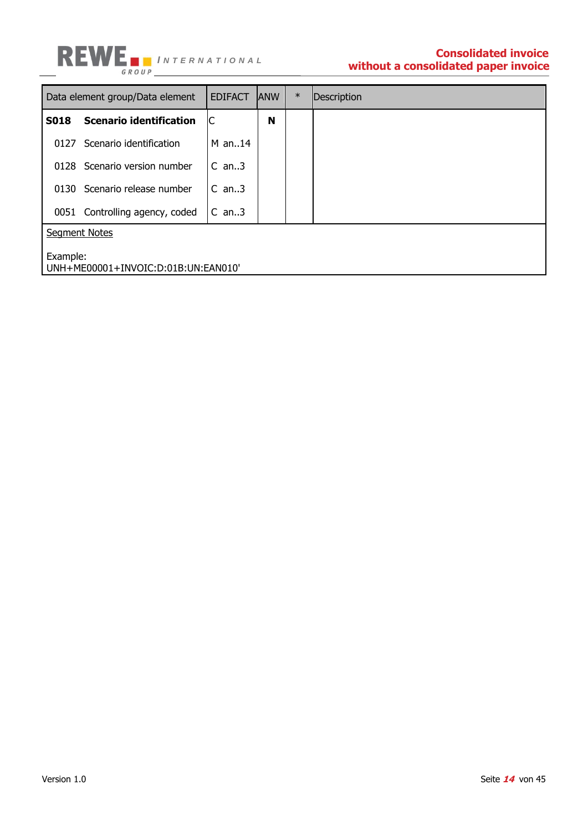

## **without a consolidated paper invoice**

|                      | Data element group/Data element     | <b>EDIFACT</b> | <b>ANW</b> | $\ast$ | Description |  |  |  |
|----------------------|-------------------------------------|----------------|------------|--------|-------------|--|--|--|
| <b>S018</b>          | <b>Scenario identification</b>      | IC             | N          |        |             |  |  |  |
| 0127                 | Scenario identification             | $M$ an14       |            |        |             |  |  |  |
|                      | 0128 Scenario version number        | $C$ an3        |            |        |             |  |  |  |
|                      | 0130 Scenario release number        | $C$ an3        |            |        |             |  |  |  |
|                      | 0051 Controlling agency, coded      | $C$ an3        |            |        |             |  |  |  |
| <b>Segment Notes</b> |                                     |                |            |        |             |  |  |  |
| Example:             | UNH+ME00001+INVOIC:D:01B:UN:EAN010' |                |            |        |             |  |  |  |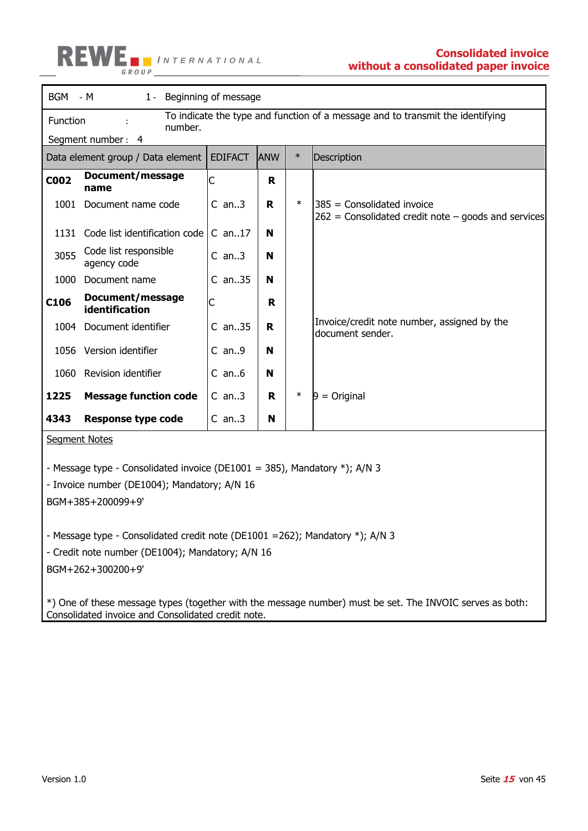

|                                                                                            | BGM - M<br>1 - Beginning of message                                                                   |            |    |        |                                                                                                          |  |  |  |  |
|--------------------------------------------------------------------------------------------|-------------------------------------------------------------------------------------------------------|------------|----|--------|----------------------------------------------------------------------------------------------------------|--|--|--|--|
|                                                                                            | To indicate the type and function of a message and to transmit the identifying<br>Function<br>number. |            |    |        |                                                                                                          |  |  |  |  |
| Segment number: 4                                                                          |                                                                                                       |            |    |        |                                                                                                          |  |  |  |  |
| <b>EDIFACT</b><br><b>ANW</b><br>$\ast$<br>Description<br>Data element group / Data element |                                                                                                       |            |    |        |                                                                                                          |  |  |  |  |
| <b>C002</b>                                                                                | Document/message<br>name                                                                              | C          | R. |        |                                                                                                          |  |  |  |  |
|                                                                                            | 1001 Document name code                                                                               | $C$ an3    | R. | $\ast$ | $385$ = Consolidated invoice<br>$262$ = Consolidated credit note – goods and services                    |  |  |  |  |
|                                                                                            | 1131 Code list identification code                                                                    | $C$ an17   | N  |        |                                                                                                          |  |  |  |  |
| 3055                                                                                       | Code list responsible<br>agency code                                                                  | $C$ an3    | N  |        |                                                                                                          |  |  |  |  |
|                                                                                            | 1000 Document name                                                                                    | $C$ an35   | N  |        |                                                                                                          |  |  |  |  |
| C106                                                                                       | Document/message<br>identification                                                                    | С          | R  |        |                                                                                                          |  |  |  |  |
|                                                                                            | 1004 Document identifier                                                                              | $C$ an35   | R  |        | Invoice/credit note number, assigned by the<br>document sender.                                          |  |  |  |  |
|                                                                                            | 1056 Version identifier                                                                               | $C$ an9    | N  |        |                                                                                                          |  |  |  |  |
|                                                                                            | 1060 Revision identifier                                                                              | $C$ an $6$ | N  |        |                                                                                                          |  |  |  |  |
| 1225                                                                                       | <b>Message function code</b>                                                                          | $C$ an3    | R  | $\ast$ | $9 =$ Original                                                                                           |  |  |  |  |
| 4343                                                                                       | <b>Response type code</b>                                                                             | $C$ an3    | N  |        |                                                                                                          |  |  |  |  |
|                                                                                            | <b>Segment Notes</b>                                                                                  |            |    |        |                                                                                                          |  |  |  |  |
|                                                                                            | - Message type - Consolidated invoice (DE1001 = 385), Mandatory *); A/N 3                             |            |    |        |                                                                                                          |  |  |  |  |
|                                                                                            | - Invoice number (DE1004); Mandatory; A/N 16                                                          |            |    |        |                                                                                                          |  |  |  |  |
|                                                                                            | BGM+385+200099+9'                                                                                     |            |    |        |                                                                                                          |  |  |  |  |
|                                                                                            |                                                                                                       |            |    |        |                                                                                                          |  |  |  |  |
|                                                                                            | - Message type - Consolidated credit note (DE1001 = 262); Mandatory *); A/N 3                         |            |    |        |                                                                                                          |  |  |  |  |
|                                                                                            | - Credit note number (DE1004); Mandatory; A/N 16                                                      |            |    |        |                                                                                                          |  |  |  |  |
|                                                                                            | BGM+262+300200+9'                                                                                     |            |    |        |                                                                                                          |  |  |  |  |
|                                                                                            | Consolidated invoice and Consolidated credit note.                                                    |            |    |        | *) One of these message types (together with the message number) must be set. The INVOIC serves as both: |  |  |  |  |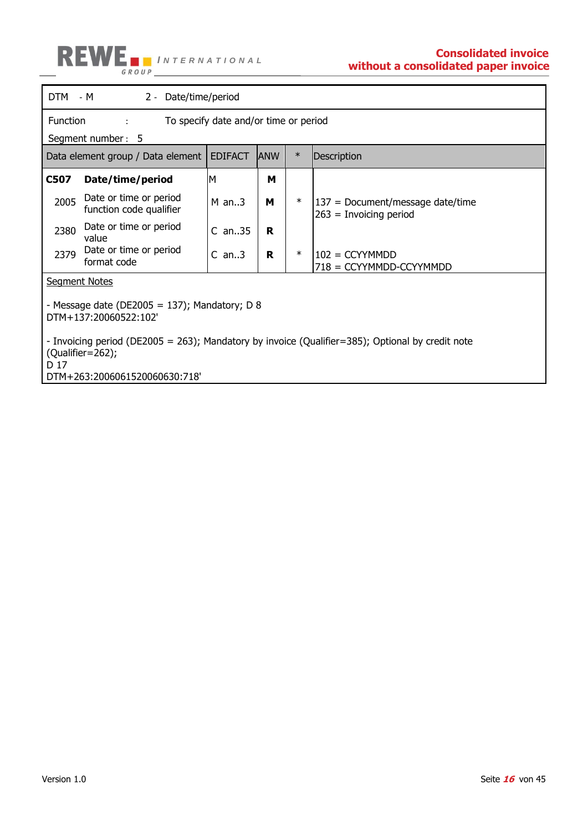

| DTM - M<br>2 - Date/time/period                                                                                                                                   |                                                                             |                |            |        |                                                                |  |  |  |
|-------------------------------------------------------------------------------------------------------------------------------------------------------------------|-----------------------------------------------------------------------------|----------------|------------|--------|----------------------------------------------------------------|--|--|--|
|                                                                                                                                                                   | Function<br>To specify date and/or time or period<br>÷<br>Segment number: 5 |                |            |        |                                                                |  |  |  |
|                                                                                                                                                                   | Data element group / Data element                                           | <b>EDIFACT</b> | <b>ANW</b> | $\ast$ | Description                                                    |  |  |  |
| C507                                                                                                                                                              | Date/time/period                                                            | M              | м          |        |                                                                |  |  |  |
| 2005                                                                                                                                                              | Date or time or period<br>function code qualifier                           | $M$ an3        | м          | $\ast$ | $137$ = Document/message date/time<br>$263$ = Invoicing period |  |  |  |
| 2380                                                                                                                                                              | Date or time or period<br>value                                             | $C$ an35       | R          |        |                                                                |  |  |  |
| 2379                                                                                                                                                              | Date or time or period<br>format code                                       | $C$ an3        | R          | $\ast$ | $102 = CCYYMMDD$<br>718 = CCYYMMDD-CCYYMMDD                    |  |  |  |
|                                                                                                                                                                   | <b>Segment Notes</b>                                                        |                |            |        |                                                                |  |  |  |
| - Message date (DE2005 = 137); Mandatory; D 8<br>DTM+137:20060522:102'                                                                                            |                                                                             |                |            |        |                                                                |  |  |  |
| - Invoicing period (DE2005 = 263); Mandatory by invoice (Qualifier=385); Optional by credit note<br>$(Qualifier = 262);$<br>D 17<br>DTM+263:2006061520060630:718' |                                                                             |                |            |        |                                                                |  |  |  |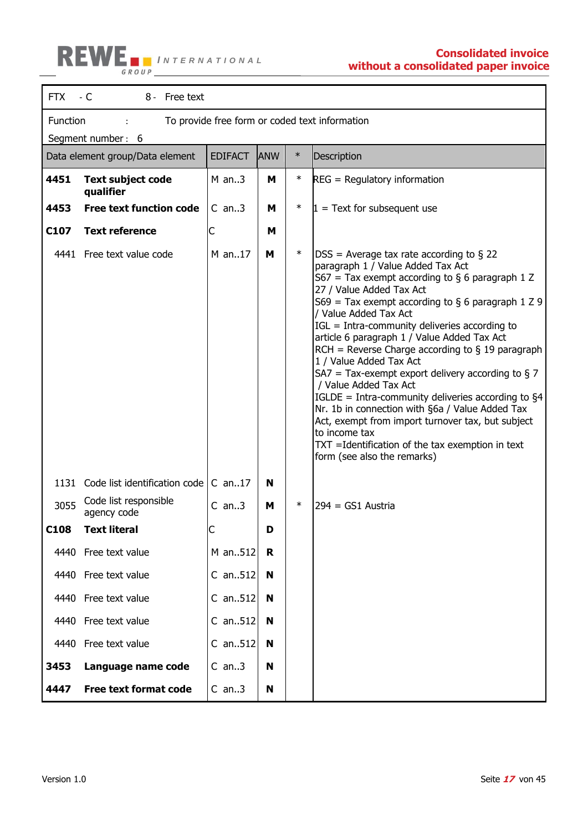

## **without a consolidated paper invoice**

| <b>FTX</b>        | - C<br>8 - Free text                                       |                |            |        |                                                                                                                                                                                                                                                                                                                                                                                                                                                                                                                                                                                                                                                                                                                                                                                           |  |  |  |
|-------------------|------------------------------------------------------------|----------------|------------|--------|-------------------------------------------------------------------------------------------------------------------------------------------------------------------------------------------------------------------------------------------------------------------------------------------------------------------------------------------------------------------------------------------------------------------------------------------------------------------------------------------------------------------------------------------------------------------------------------------------------------------------------------------------------------------------------------------------------------------------------------------------------------------------------------------|--|--|--|
|                   | Function<br>To provide free form or coded text information |                |            |        |                                                                                                                                                                                                                                                                                                                                                                                                                                                                                                                                                                                                                                                                                                                                                                                           |  |  |  |
| Segment number: 6 |                                                            |                |            |        |                                                                                                                                                                                                                                                                                                                                                                                                                                                                                                                                                                                                                                                                                                                                                                                           |  |  |  |
|                   | Data element group/Data element                            | <b>EDIFACT</b> | <b>ANW</b> | $\ast$ | Description                                                                                                                                                                                                                                                                                                                                                                                                                                                                                                                                                                                                                                                                                                                                                                               |  |  |  |
| 4451              | <b>Text subject code</b><br>qualifier                      | $M$ an3        | M          | $\ast$ | $REG = Regularory information$                                                                                                                                                                                                                                                                                                                                                                                                                                                                                                                                                                                                                                                                                                                                                            |  |  |  |
| 4453              | <b>Free text function code</b>                             | $C$ an3        | M          | $\ast$ | $1 =$ Text for subsequent use                                                                                                                                                                                                                                                                                                                                                                                                                                                                                                                                                                                                                                                                                                                                                             |  |  |  |
| C <sub>107</sub>  | <b>Text reference</b>                                      | С              | M          |        |                                                                                                                                                                                                                                                                                                                                                                                                                                                                                                                                                                                                                                                                                                                                                                                           |  |  |  |
|                   | 4441 Free text value code                                  | M an17         | M          | $\ast$ | $DSS = Average tax rate according to § 22$<br>paragraph 1 / Value Added Tax Act<br>S67 = Tax exempt according to $\S$ 6 paragraph 1 Z<br>27 / Value Added Tax Act<br>S69 = Tax exempt according to $\S$ 6 paragraph 1 Z 9<br>/ Value Added Tax Act<br>IGL = Intra-community deliveries according to<br>article 6 paragraph 1 / Value Added Tax Act<br>$RCH =$ Reverse Charge according to § 19 paragraph<br>1 / Value Added Tax Act<br>SA7 = Tax-exempt export delivery according to $\S$ 7<br>/ Value Added Tax Act<br>IGLDE = Intra-community deliveries according to $\S4$<br>Nr. 1b in connection with §6a / Value Added Tax<br>Act, exempt from import turnover tax, but subject<br>to income tax<br>TXT =Identification of the tax exemption in text<br>form (see also the remarks) |  |  |  |
| 1131              | Code list identification code                              | $C$ an17       | N          |        |                                                                                                                                                                                                                                                                                                                                                                                                                                                                                                                                                                                                                                                                                                                                                                                           |  |  |  |
| 3055              | Code list responsible<br>agency code                       | $C$ an3        | м          | ∗      | $294 = GS1$ Austria                                                                                                                                                                                                                                                                                                                                                                                                                                                                                                                                                                                                                                                                                                                                                                       |  |  |  |
| C <sub>108</sub>  | <b>Text literal</b>                                        |                | D          |        |                                                                                                                                                                                                                                                                                                                                                                                                                                                                                                                                                                                                                                                                                                                                                                                           |  |  |  |
| 4440              | Free text value                                            | M an512        | R          |        |                                                                                                                                                                                                                                                                                                                                                                                                                                                                                                                                                                                                                                                                                                                                                                                           |  |  |  |
| 4440              | Free text value                                            | $C$ an512      | N          |        |                                                                                                                                                                                                                                                                                                                                                                                                                                                                                                                                                                                                                                                                                                                                                                                           |  |  |  |
| 4440              | Free text value                                            | C an512        | N          |        |                                                                                                                                                                                                                                                                                                                                                                                                                                                                                                                                                                                                                                                                                                                                                                                           |  |  |  |
| 4440              | Free text value                                            | $C$ an512      | N          |        |                                                                                                                                                                                                                                                                                                                                                                                                                                                                                                                                                                                                                                                                                                                                                                                           |  |  |  |
| 4440              | Free text value                                            | C an512        | N          |        |                                                                                                                                                                                                                                                                                                                                                                                                                                                                                                                                                                                                                                                                                                                                                                                           |  |  |  |
| 3453              | Language name code                                         | $C$ an3        | N          |        |                                                                                                                                                                                                                                                                                                                                                                                                                                                                                                                                                                                                                                                                                                                                                                                           |  |  |  |
| 4447              | <b>Free text format code</b>                               | $C$ an3        | N          |        |                                                                                                                                                                                                                                                                                                                                                                                                                                                                                                                                                                                                                                                                                                                                                                                           |  |  |  |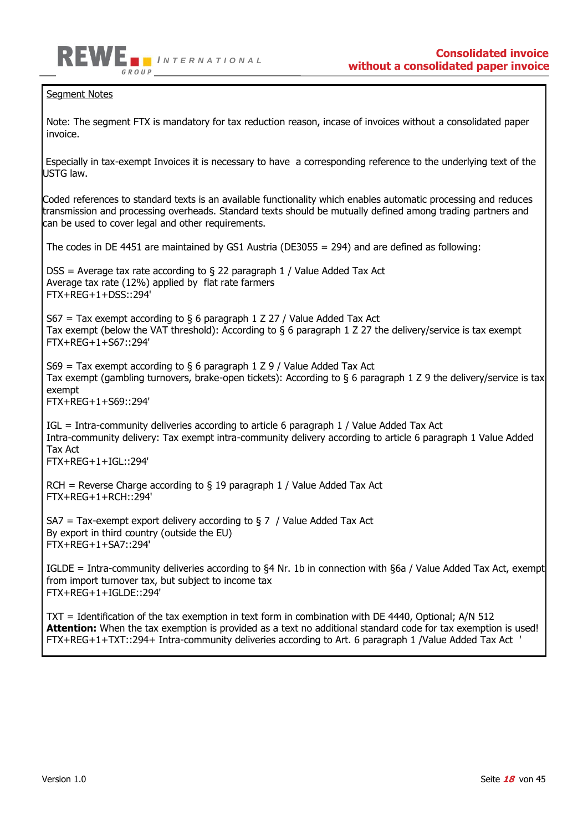

#### Seament Notes

Note: The segment FTX is mandatory for tax reduction reason, incase of invoices without a consolidated paper invoice.

Especially in tax-exempt Invoices it is necessary to have a corresponding reference to the underlying text of the USTG law.

Coded references to standard texts is an available functionality which enables automatic processing and reduces transmission and processing overheads. Standard texts should be mutually defined among trading partners and can be used to cover legal and other requirements.

The codes in DE 4451 are maintained by GS1 Austria (DE3055 = 294) and are defined as following:

 $DSS =$  Average tax rate according to § 22 paragraph 1 / Value Added Tax Act Average tax rate (12%) applied by flat rate farmers FTX+REG+1+DSS::294'

 $S67$  = Tax exempt according to § 6 paragraph 1 Z 27 / Value Added Tax Act Tax exempt (below the VAT threshold): According to § 6 paragraph 1 Z 27 the delivery/service is tax exempt FTX+REG+1+S67::294'

S69 = Tax exempt according to  $\S$  6 paragraph 1 Z 9 / Value Added Tax Act Tax exempt (gambling turnovers, brake-open tickets): According to § 6 paragraph 1 Z 9 the delivery/service is tax exempt

FTX+REG+1+S69::294'

IGL = Intra-community deliveries according to article 6 paragraph 1 / Value Added Tax Act Intra-community delivery: Tax exempt intra-community delivery according to article 6 paragraph 1 Value Added Tax Act FTX+REG+1+IGL::294'

RCH = Reverse Charge according to  $\S$  19 paragraph 1 / Value Added Tax Act FTX+REG+1+RCH::294'

 $S_A =$  Tax-exempt export delivery according to  $\S 7$  / Value Added Tax Act By export in third country (outside the EU) FTX+REG+1+SA7::294'

IGLDE = Intra-community deliveries according to §4 Nr. 1b in connection with §6a / Value Added Tax Act, exempt from import turnover tax, but subject to income tax FTX+REG+1+IGLDE::294'

TXT = Identification of the tax exemption in text form in combination with DE 4440, Optional; A/N 512 **Attention:** When the tax exemption is provided as a text no additional standard code for tax exemption is used! FTX+REG+1+TXT::294+ Intra-community deliveries according to Art. 6 paragraph 1 /Value Added Tax Act '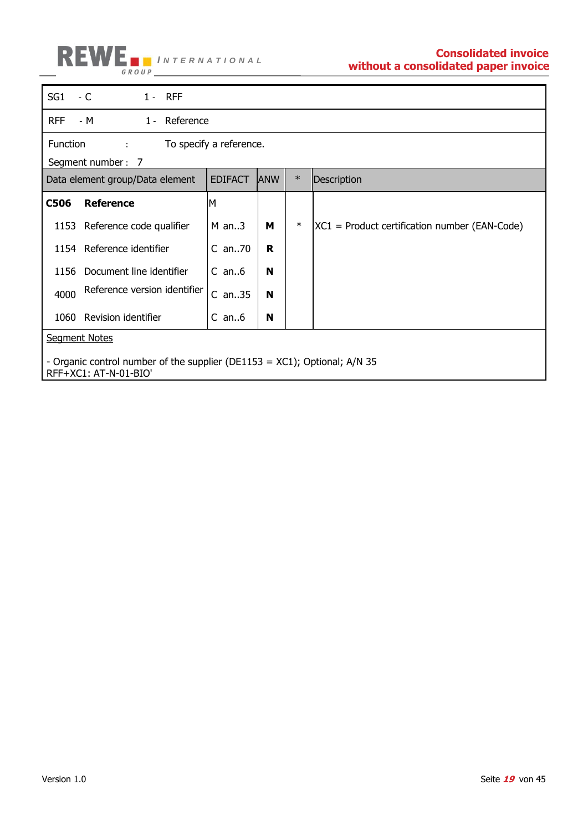

| SG <sub>1</sub>      | - C<br>$1 - RFF$                                                                                   |                |            |        |                                                   |  |  |
|----------------------|----------------------------------------------------------------------------------------------------|----------------|------------|--------|---------------------------------------------------|--|--|
| <b>RFF</b>           | - M<br>1 - Reference                                                                               |                |            |        |                                                   |  |  |
|                      | Function<br>To specify a reference.<br>÷<br>Segment number: 7                                      |                |            |        |                                                   |  |  |
|                      | Data element group/Data element                                                                    | <b>EDIFACT</b> | <b>ANW</b> | $\ast$ | Description                                       |  |  |
| <b>C506</b>          | <b>Reference</b>                                                                                   | M              |            |        |                                                   |  |  |
|                      | 1153 Reference code qualifier                                                                      | $M$ an3        | м          | $\ast$ | $ XC1 $ = Product certification number (EAN-Code) |  |  |
|                      | 1154 Reference identifier                                                                          | C an70         | R          |        |                                                   |  |  |
| 1156                 | Document line identifier                                                                           | $C$ an $6$     | N          |        |                                                   |  |  |
| 4000                 | Reference version identifier                                                                       | $C$ an35       | N          |        |                                                   |  |  |
| 1060                 | Revision identifier                                                                                | $C$ an $6$     | N          |        |                                                   |  |  |
| <b>Segment Notes</b> |                                                                                                    |                |            |        |                                                   |  |  |
|                      | - Organic control number of the supplier (DE1153 = XC1); Optional; A/N 35<br>RFF+XC1: AT-N-01-BIO' |                |            |        |                                                   |  |  |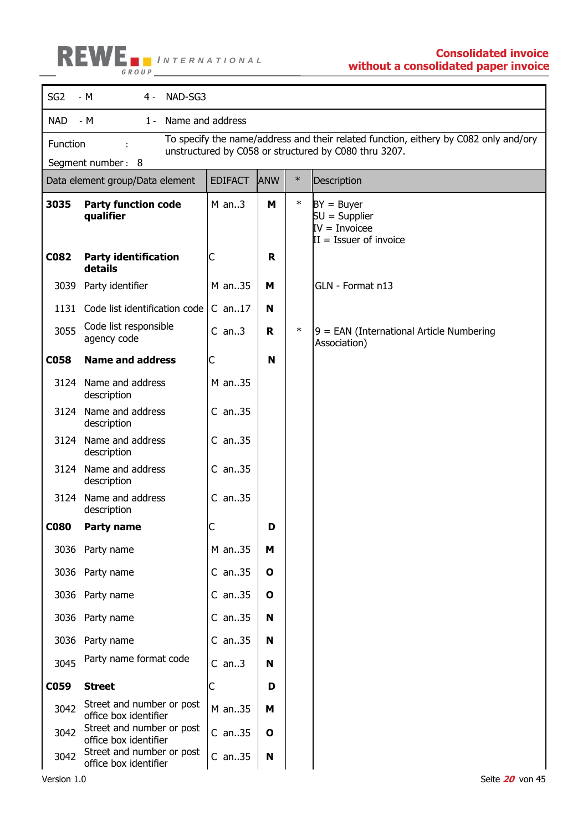

| SG <sub>2</sub> | - M<br>NAD-SG3<br>$4 -$                                                                                                                                                        |                |              |        |                                                                                 |  |  |
|-----------------|--------------------------------------------------------------------------------------------------------------------------------------------------------------------------------|----------------|--------------|--------|---------------------------------------------------------------------------------|--|--|
| <b>NAD</b>      | - M<br>Name and address<br>$1 -$                                                                                                                                               |                |              |        |                                                                                 |  |  |
|                 | To specify the name/address and their related function, eithery by C082 only and/ory<br>Function<br>unstructured by C058 or structured by C080 thru 3207.<br>Segment number: 8 |                |              |        |                                                                                 |  |  |
|                 | Data element group/Data element                                                                                                                                                | <b>EDIFACT</b> | <b>ANW</b>   | $\ast$ | Description                                                                     |  |  |
| 3035            | <b>Party function code</b><br>qualifier                                                                                                                                        | $M$ an3        | M            | $\ast$ | $BY = Buyer$<br>$SU =$ Supplier<br>$IV = Invoicee$<br>$II = I$ ssuer of invoice |  |  |
| C082            | <b>Party identification</b><br>details                                                                                                                                         | C              | R.           |        |                                                                                 |  |  |
| 3039            | Party identifier                                                                                                                                                               | M an35         | м            |        | GLN - Format n13                                                                |  |  |
| 1131            | Code list identification code                                                                                                                                                  | $C$ an17       | N            |        |                                                                                 |  |  |
| 3055            | Code list responsible<br>agency code                                                                                                                                           | $C$ an3        | R.           | $\ast$ | $9$ = EAN (International Article Numbering<br>Association)                      |  |  |
| <b>C058</b>     | <b>Name and address</b>                                                                                                                                                        | C              | N            |        |                                                                                 |  |  |
| 3124            | Name and address<br>description                                                                                                                                                | M an35         |              |        |                                                                                 |  |  |
| 3124            | Name and address<br>description                                                                                                                                                | $C$ an35       |              |        |                                                                                 |  |  |
| 3124            | Name and address<br>description                                                                                                                                                | $C$ an35       |              |        |                                                                                 |  |  |
| 3124            | Name and address<br>description                                                                                                                                                | $C$ an. 35     |              |        |                                                                                 |  |  |
| 3124            | Name and address<br>description                                                                                                                                                | $C$ an35       |              |        |                                                                                 |  |  |
| <b>C080</b>     | <b>Party name</b>                                                                                                                                                              | C              |              |        |                                                                                 |  |  |
|                 | 3036 Party name                                                                                                                                                                | M an35         | M            |        |                                                                                 |  |  |
|                 | 3036 Party name                                                                                                                                                                | $C$ an35       | $\mathbf{o}$ |        |                                                                                 |  |  |
| 3036            | Party name                                                                                                                                                                     | $C$ an35       | $\mathbf{o}$ |        |                                                                                 |  |  |
|                 | 3036 Party name                                                                                                                                                                | $C$ an35       | N            |        |                                                                                 |  |  |
| 3036            | Party name                                                                                                                                                                     | $C$ an35       | N            |        |                                                                                 |  |  |
| 3045            | Party name format code                                                                                                                                                         | $C$ an3        | N            |        |                                                                                 |  |  |
| C059            | <b>Street</b>                                                                                                                                                                  | C              | D            |        |                                                                                 |  |  |
| 3042            | Street and number or post<br>office box identifier                                                                                                                             | M an35         | M            |        |                                                                                 |  |  |
| 3042            | Street and number or post<br>office box identifier                                                                                                                             | $C$ an35       | $\mathbf{o}$ |        |                                                                                 |  |  |
| 3042            | Street and number or post<br>office box identifier                                                                                                                             | $C$ an35       | N            |        |                                                                                 |  |  |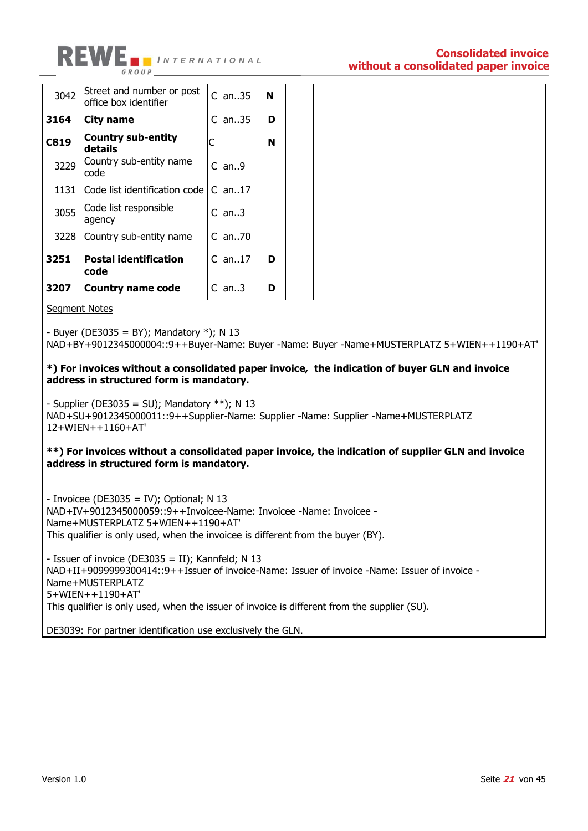

| 3042        | Street and number or post<br>office box identifier | $C$ an35 | N |  |
|-------------|----------------------------------------------------|----------|---|--|
| 3164        | <b>City name</b>                                   | $C$ an35 | D |  |
| <b>C819</b> | <b>Country sub-entity</b><br>details               | С        | N |  |
| 3229        | Country sub-entity name<br>code                    | $C$ an9  |   |  |
| 1131        | Code list identification code                      | $C$ an17 |   |  |
| 3055        | Code list responsible<br>agency                    | $C$ an3  |   |  |
| 3228        | Country sub-entity name                            | $C$ an70 |   |  |
| 3251        | <b>Postal identification</b><br>code               | $C$ an17 | D |  |
| 3207        | <b>Country name code</b>                           | $C$ an3  | D |  |

Segment Notes

- Buyer (DE3035 = BY); Mandatory  $*$ ); N 13

NAD+BY+9012345000004::9++Buyer-Name: Buyer -Name: Buyer -Name+MUSTERPLATZ 5+WIEN++1190+AT'

#### **\*) For invoices without a consolidated paper invoice, the indication of buyer GLN and invoice address in structured form is mandatory.**

- Supplier (DE3035 = SU); Mandatory  $**$ ); N 13

NAD+SU+9012345000011::9++Supplier-Name: Supplier -Name: Supplier -Name+MUSTERPLATZ 12+WIEN++1160+AT'

#### **\*\*) For invoices without a consolidated paper invoice, the indication of supplier GLN and invoice address in structured form is mandatory.**

- Invoicee (DE3035 = IV); Optional; N 13 NAD+IV+9012345000059::9++Invoicee-Name: Invoicee -Name: Invoicee - Name+MUSTERPLATZ 5+WIEN++1190+AT' This qualifier is only used, when the invoicee is different from the buyer (BY).

- Issuer of invoice (DE3035 = II); Kannfeld; N 13 NAD+II+9099999300414::9++Issuer of invoice-Name: Issuer of invoice -Name: Issuer of invoice - Name+MUSTERPLATZ 5+WIEN++1190+AT' This qualifier is only used, when the issuer of invoice is different from the supplier (SU).

DE3039: For partner identification use exclusively the GLN.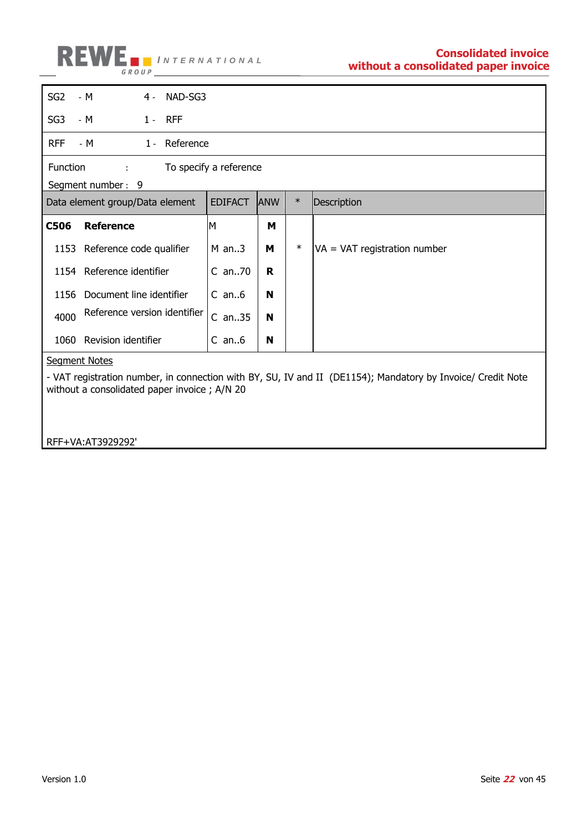

| SG <sub>2</sub><br>$-M$<br>4 - NAD-SG3                                                                                                                      |                        |            |        |                                |  |  |
|-------------------------------------------------------------------------------------------------------------------------------------------------------------|------------------------|------------|--------|--------------------------------|--|--|
| SG <sub>3</sub><br>$-M$<br>$1 - RFF$                                                                                                                        |                        |            |        |                                |  |  |
| <b>RFF</b><br>1- Reference<br>- M                                                                                                                           |                        |            |        |                                |  |  |
| Function<br>÷                                                                                                                                               | To specify a reference |            |        |                                |  |  |
| Segment number: 9                                                                                                                                           |                        |            |        |                                |  |  |
| Data element group/Data element                                                                                                                             | <b>EDIFACT</b>         | <b>ANW</b> | $\ast$ | Description                    |  |  |
| <b>Reference</b><br><b>C506</b>                                                                                                                             | M                      | м          |        |                                |  |  |
| 1153 Reference code qualifier                                                                                                                               | $M$ an3                | м          | $\ast$ | $VA = VAT$ registration number |  |  |
| 1154 Reference identifier                                                                                                                                   | $C$ an70               | R          |        |                                |  |  |
| Document line identifier<br>1156                                                                                                                            | $C$ an $6$             | N          |        |                                |  |  |
| Reference version identifier<br>4000                                                                                                                        | $C$ an35               | N          |        |                                |  |  |
| Revision identifier<br>1060                                                                                                                                 | $C$ an $6$             | N          |        |                                |  |  |
| <b>Segment Notes</b>                                                                                                                                        |                        |            |        |                                |  |  |
|                                                                                                                                                             |                        |            |        |                                |  |  |
| - VAT registration number, in connection with BY, SU, IV and II (DE1154); Mandatory by Invoice/ Credit Note<br>without a consolidated paper invoice; A/N 20 |                        |            |        |                                |  |  |

RFF+VA:AT3929292'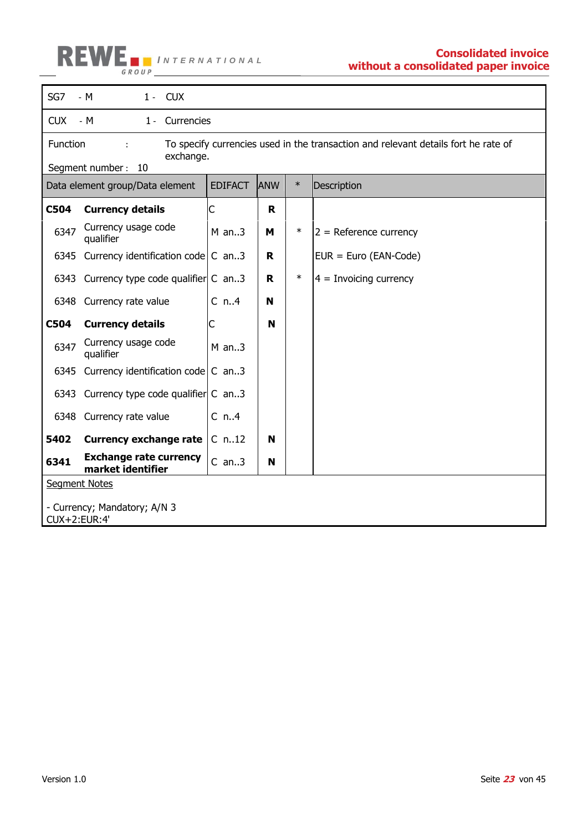

| SG7                                          | $-M$<br>$1 - CUX$                                                  |                |            |        |                                                                                    |  |  |
|----------------------------------------------|--------------------------------------------------------------------|----------------|------------|--------|------------------------------------------------------------------------------------|--|--|
| <b>CUX</b>                                   | $-M$<br>1 - Currencies                                             |                |            |        |                                                                                    |  |  |
| Function                                     | ÷                                                                  |                |            |        | To specify currencies used in the transaction and relevant details fort he rate of |  |  |
|                                              | exchange.<br>Segment number: 10                                    |                |            |        |                                                                                    |  |  |
|                                              | Data element group/Data element                                    | <b>EDIFACT</b> | <b>ANW</b> | $\ast$ | Description                                                                        |  |  |
| C504                                         | <b>Currency details</b>                                            | C              | R.         |        |                                                                                    |  |  |
| 6347                                         | Currency usage code<br>qualifier                                   | $M$ an3        | M          | $\ast$ | $2$ = Reference currency                                                           |  |  |
|                                              | 6345 Currency identification code C an3                            |                | R.         |        | $EUR = Euro (EAN-Code)$                                                            |  |  |
| 6343                                         | Currency type code qualifier C an3                                 |                | R.         | $\ast$ | $4 =$ Invoicing currency                                                           |  |  |
|                                              | 6348 Currency rate value                                           | $C_n.A$        | N          |        |                                                                                    |  |  |
| <b>C504</b>                                  | <b>Currency details</b>                                            | С              | N          |        |                                                                                    |  |  |
| 6347                                         | Currency usage code<br>qualifier                                   | $M$ an3        |            |        |                                                                                    |  |  |
|                                              | 6345 Currency identification code $\mathsf{C}$ an3                 |                |            |        |                                                                                    |  |  |
|                                              | 6343 Currency type code qualifier C an3                            |                |            |        |                                                                                    |  |  |
|                                              | 6348 Currency rate value                                           | $C_n$ .4       |            |        |                                                                                    |  |  |
| 5402                                         | <b>Currency exchange rate</b>                                      | $C$ n12        | N          |        |                                                                                    |  |  |
| 6341                                         | <b>Exchange rate currency</b><br>$C$ an3<br>N<br>market identifier |                |            |        |                                                                                    |  |  |
| <b>Segment Notes</b>                         |                                                                    |                |            |        |                                                                                    |  |  |
| - Currency; Mandatory; A/N 3<br>CUX+2:EUR:4' |                                                                    |                |            |        |                                                                                    |  |  |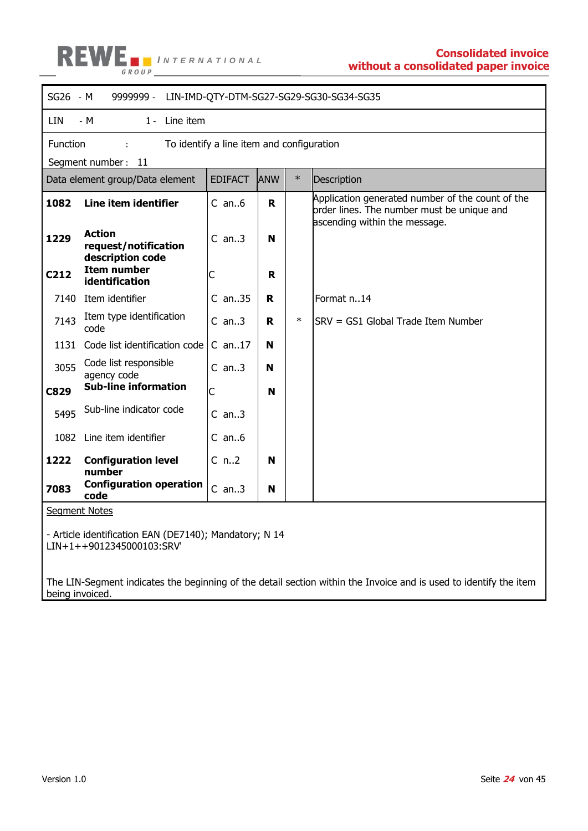

|             | SG26 - M<br>9999999 -<br>LIN-IMD-QTY-DTM-SG27-SG29-SG30-SG34-SG35                   |                                           |     |        |                                                                                                                                 |  |  |
|-------------|-------------------------------------------------------------------------------------|-------------------------------------------|-----|--------|---------------------------------------------------------------------------------------------------------------------------------|--|--|
| LIN         | Line item<br>- M<br>$1 -$                                                           |                                           |     |        |                                                                                                                                 |  |  |
| Function    | Segment number: 11                                                                  | To identify a line item and configuration |     |        |                                                                                                                                 |  |  |
|             | Data element group/Data element                                                     | <b>EDIFACT</b>                            | ANW | $\ast$ | Description                                                                                                                     |  |  |
| 1082        | Line item identifier                                                                | $C$ an6                                   | R   |        | Application generated number of the count of the<br>order lines. The number must be unique and<br>ascending within the message. |  |  |
| 1229        | <b>Action</b><br>request/notification<br>description code                           | $C$ an3                                   | N   |        |                                                                                                                                 |  |  |
| C212        | <b>Item number</b><br>identification                                                | C                                         | R   |        |                                                                                                                                 |  |  |
|             | 7140 Item identifier                                                                | $C$ an35                                  | R   |        | Format n14                                                                                                                      |  |  |
| 7143        | Item type identification<br>code                                                    | $C$ an3                                   | R   | $\ast$ | SRV = GS1 Global Trade Item Number                                                                                              |  |  |
| 1131        | Code list identification code                                                       | $C$ an17                                  | N   |        |                                                                                                                                 |  |  |
| 3055        | Code list responsible<br>agency code                                                | $C$ an3                                   | N   |        |                                                                                                                                 |  |  |
| <b>C829</b> | <b>Sub-line information</b>                                                         | C                                         | N   |        |                                                                                                                                 |  |  |
| 5495        | Sub-line indicator code                                                             | $C$ an3                                   |     |        |                                                                                                                                 |  |  |
|             | 1082 Line item identifier                                                           | $C$ an6                                   |     |        |                                                                                                                                 |  |  |
| 1222        | <b>Configuration level</b><br>number                                                | $C_n$ .2                                  | N   |        |                                                                                                                                 |  |  |
| 7083        | <b>Configuration operation</b><br>code                                              | $C$ an3                                   | N   |        |                                                                                                                                 |  |  |
|             | <b>Segment Notes</b>                                                                |                                           |     |        |                                                                                                                                 |  |  |
|             | - Article identification EAN (DE7140); Mandatory; N 14<br>LIN+1++9012345000103:SRV' |                                           |     |        |                                                                                                                                 |  |  |

The LIN-Segment indicates the beginning of the detail section within the Invoice and is used to identify the item being invoiced.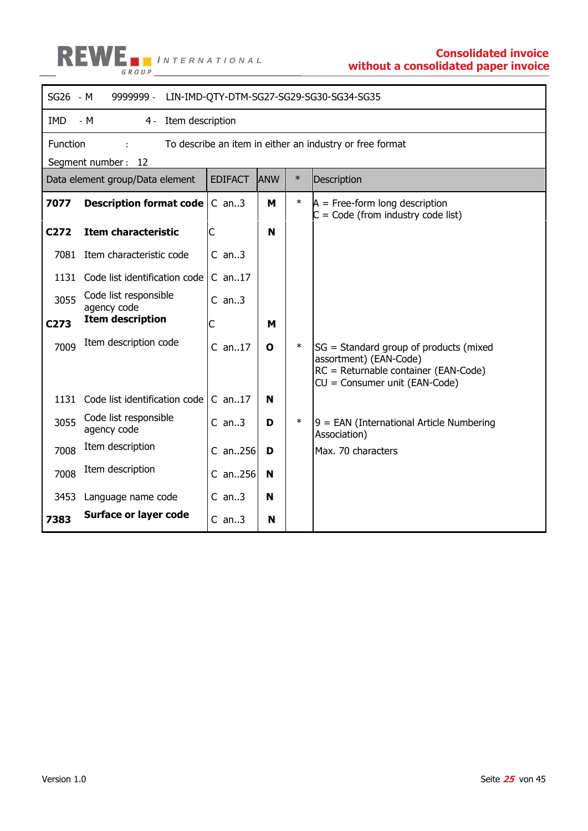

|            | SG26 - M<br>9999999 -<br>LIN-IMD-QTY-DTM-SG27-SG29-SG30-SG34-SG35 |                |            |        |                                                                                                                                           |  |  |  |
|------------|-------------------------------------------------------------------|----------------|------------|--------|-------------------------------------------------------------------------------------------------------------------------------------------|--|--|--|
| <b>IMD</b> | $-M$<br>Item description<br>$4 -$                                 |                |            |        |                                                                                                                                           |  |  |  |
| Function   |                                                                   |                |            |        | To describe an item in either an industry or free format                                                                                  |  |  |  |
|            | Segment number: 12                                                |                |            |        |                                                                                                                                           |  |  |  |
|            | Data element group/Data element                                   | <b>EDIFACT</b> | <b>ANW</b> | $\ast$ | Description                                                                                                                               |  |  |  |
| 7077       | Description format code                                           | $C$ an3        | м          | $\ast$ | $A = Free-form long description$<br>$C = Code (from industry code list)$                                                                  |  |  |  |
| C272       | <b>Item characteristic</b>                                        | C              | N          |        |                                                                                                                                           |  |  |  |
| 7081       | Item characteristic code                                          | $C$ an3        |            |        |                                                                                                                                           |  |  |  |
| 1131       | Code list identification code                                     | $C$ an17       |            |        |                                                                                                                                           |  |  |  |
| 3055       | Code list responsible<br>agency code                              | $C$ an3        |            |        |                                                                                                                                           |  |  |  |
| C273       | <b>Item description</b>                                           | С              | м          |        |                                                                                                                                           |  |  |  |
| 7009       | Item description code                                             | $C$ an17       | O          | $\ast$ | SG = Standard group of products (mixed<br>assortment) (EAN-Code)<br>RC = Returnable container (EAN-Code)<br>CU = Consumer unit (EAN-Code) |  |  |  |
| 1131       | Code list identification code                                     | $C$ an17       | N          |        |                                                                                                                                           |  |  |  |
| 3055       | Code list responsible<br>agency code                              | $C$ an3        | D          | $\ast$ | $9$ = EAN (International Article Numbering<br>Association)                                                                                |  |  |  |
| 7008       | Item description                                                  | $C$ an256      | D          |        | Max. 70 characters                                                                                                                        |  |  |  |
| 7008       | Item description                                                  | $C$ an. 256    | N          |        |                                                                                                                                           |  |  |  |
| 3453       | Language name code                                                | $C$ an3        | N          |        |                                                                                                                                           |  |  |  |
| 7383       | <b>Surface or layer code</b>                                      | $C$ an3        | N          |        |                                                                                                                                           |  |  |  |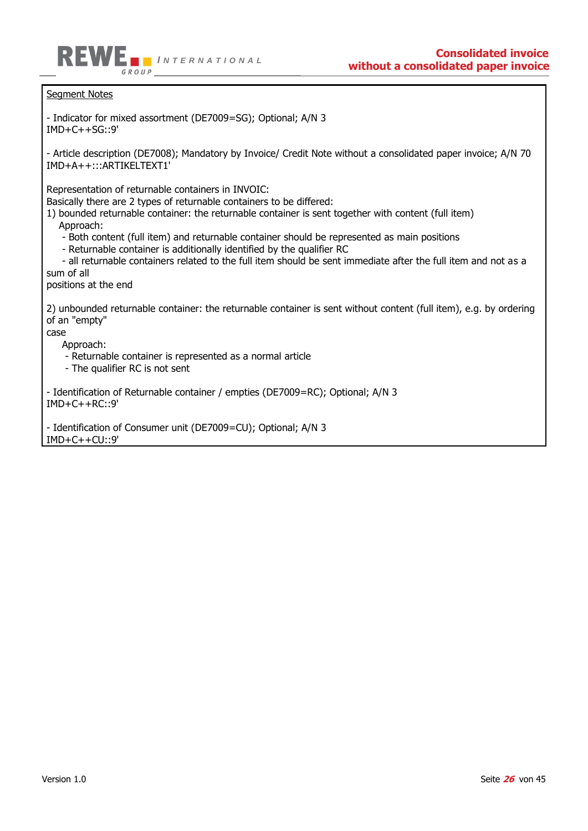

Seament Notes

- Indicator for mixed assortment (DE7009=SG); Optional; A/N 3  $IMD+C++SG::9'$ 

- Article description (DE7008); Mandatory by Invoice/ Credit Note without a consolidated paper invoice; A/N 70 IMD+A++:::ARTIKELTEXT1'

Representation of returnable containers in INVOIC:

Basically there are 2 types of returnable containers to be differed:

1) bounded returnable container: the returnable container is sent together with content (full item) Approach:

- Both content (full item) and returnable container should be represented as main positions

- Returnable container is additionally identified by the qualifier RC

 - all returnable containers related to the full item should be sent immediate after the full item and not as a sum of all

positions at the end

2) unbounded returnable container: the returnable container is sent without content (full item), e.g. by ordering of an "empty"

case

Approach:

- Returnable container is represented as a normal article

- The qualifier RC is not sent

- Identification of Returnable container / empties (DE7009=RC); Optional; A/N 3 IMD+C++RC::9'

- Identification of Consumer unit (DE7009=CU); Optional; A/N 3 IMD+C++CU::9'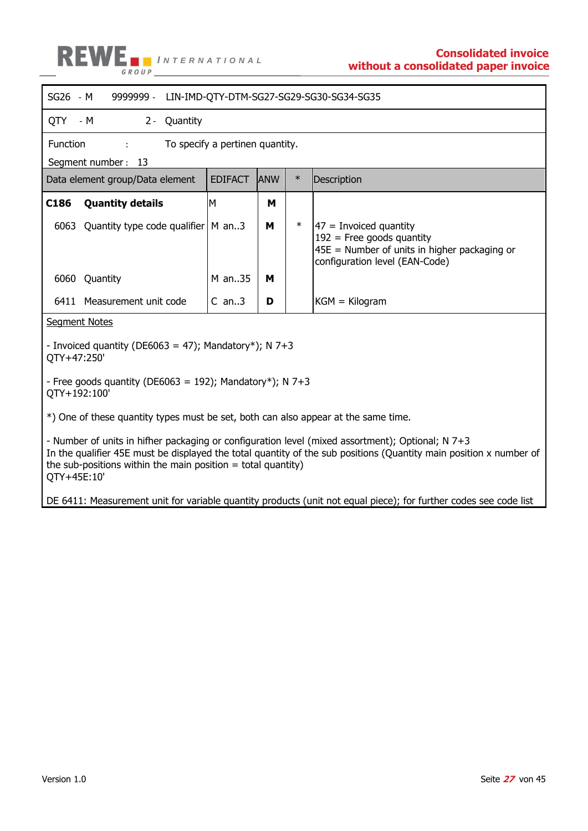

| SG26 - M                                                                                                                                                                                                                                                                                                                                                                                      | 9999999 - LIN-IMD-QTY-DTM-SG27-SG29-SG30-SG34-SG35 |            |        |                                                                                                                                              |  |  |  |
|-----------------------------------------------------------------------------------------------------------------------------------------------------------------------------------------------------------------------------------------------------------------------------------------------------------------------------------------------------------------------------------------------|----------------------------------------------------|------------|--------|----------------------------------------------------------------------------------------------------------------------------------------------|--|--|--|
| QTY - M<br>2 - Quantity                                                                                                                                                                                                                                                                                                                                                                       |                                                    |            |        |                                                                                                                                              |  |  |  |
| Function<br>diam'r.                                                                                                                                                                                                                                                                                                                                                                           | To specify a pertinen quantity.                    |            |        |                                                                                                                                              |  |  |  |
| Segment number: 13                                                                                                                                                                                                                                                                                                                                                                            |                                                    |            |        |                                                                                                                                              |  |  |  |
| Data element group/Data element                                                                                                                                                                                                                                                                                                                                                               | <b>EDIFACT</b>                                     | <b>ANW</b> | $\ast$ | Description                                                                                                                                  |  |  |  |
| C186<br><b>Quantity details</b>                                                                                                                                                                                                                                                                                                                                                               | M                                                  | м          |        |                                                                                                                                              |  |  |  |
| 6063<br>Quantity type code qualifier   M an3                                                                                                                                                                                                                                                                                                                                                  |                                                    | м          | $\ast$ | $ 47$ = Invoiced quantity<br>$192$ = Free goods quantity<br>$45E$ = Number of units in higher packaging or<br>configuration level (EAN-Code) |  |  |  |
| 6060<br>Quantity                                                                                                                                                                                                                                                                                                                                                                              | M an35                                             | м          |        |                                                                                                                                              |  |  |  |
| 6411 Measurement unit code                                                                                                                                                                                                                                                                                                                                                                    | $C$ an3                                            | D          |        | $KGM = Kilogram$                                                                                                                             |  |  |  |
| <b>Segment Notes</b>                                                                                                                                                                                                                                                                                                                                                                          |                                                    |            |        |                                                                                                                                              |  |  |  |
| - Invoiced quantity (DE6063 = 47); Mandatory*); N 7+3<br>QTY+47:250'                                                                                                                                                                                                                                                                                                                          |                                                    |            |        |                                                                                                                                              |  |  |  |
| - Free goods quantity (DE6063 = 192); Mandatory*); N 7+3<br>QTY+192:100'                                                                                                                                                                                                                                                                                                                      |                                                    |            |        |                                                                                                                                              |  |  |  |
|                                                                                                                                                                                                                                                                                                                                                                                               |                                                    |            |        |                                                                                                                                              |  |  |  |
| *) One of these quantity types must be set, both can also appear at the same time.<br>- Number of units in hifher packaging or configuration level (mixed assortment); Optional; N 7+3<br>In the qualifier 45E must be displayed the total quantity of the sub positions (Quantity main position x number of<br>the sub-positions within the main position $=$ total quantity)<br>QTY+45E:10' |                                                    |            |        |                                                                                                                                              |  |  |  |
|                                                                                                                                                                                                                                                                                                                                                                                               |                                                    |            |        | DE 6411: Measurement unit for variable quantity products (unit not equal piece); for further codes see code list                             |  |  |  |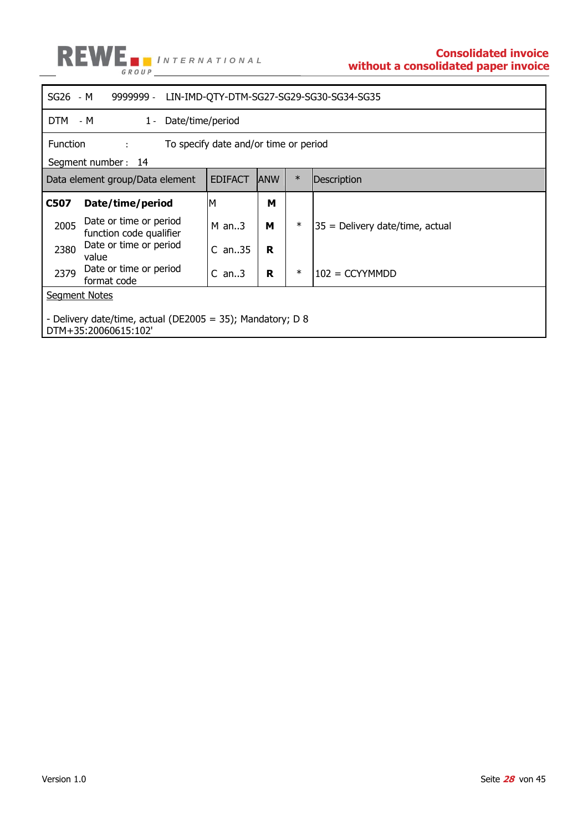

|                                                                                    | SG26 - M<br>9999999 -<br>LIN-IMD-QTY-DTM-SG27-SG29-SG30-SG34-SG35    |                  |             |        |                                 |  |  |
|------------------------------------------------------------------------------------|----------------------------------------------------------------------|------------------|-------------|--------|---------------------------------|--|--|
| DTM - M                                                                            | $1 -$                                                                | Date/time/period |             |        |                                 |  |  |
|                                                                                    | Function<br>To specify date and/or time or period<br>distance of the |                  |             |        |                                 |  |  |
|                                                                                    | Segment number: 14                                                   |                  |             |        |                                 |  |  |
|                                                                                    | Data element group/Data element                                      | <b>EDIFACT</b>   | <b>JANW</b> | $\ast$ | Description                     |  |  |
| C507                                                                               | Date/time/period                                                     | ΙM               | М           |        |                                 |  |  |
| 2005                                                                               | Date or time or period<br>function code qualifier                    | $M$ an3          | м           | $\ast$ | 35 = Delivery date/time, actual |  |  |
| 2380                                                                               | Date or time or period<br>value                                      | $C$ an35         | R           |        |                                 |  |  |
| 2379                                                                               | Date or time or period<br>format code                                | $C$ an3          | R           | $\ast$ | $102 = CCYYMMDD$                |  |  |
| <b>Segment Notes</b>                                                               |                                                                      |                  |             |        |                                 |  |  |
| - Delivery date/time, actual (DE2005 = 35); Mandatory; D 8<br>DTM+35:20060615:102' |                                                                      |                  |             |        |                                 |  |  |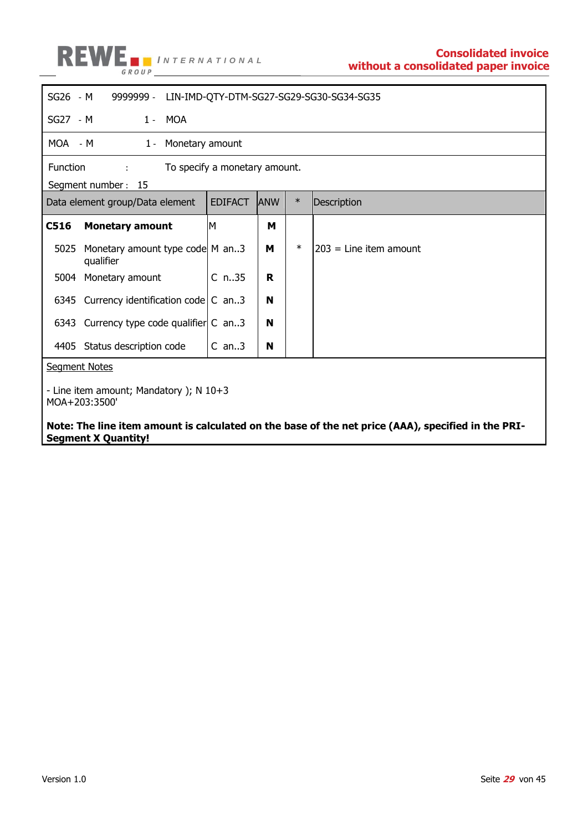

| $SG26 - M$                                                                                                                                                       | 9999999 - LIN-IMD-QTY-DTM-SG27-SG29-SG30-SG34-SG35 |                               |            |        |                         |  |  |
|------------------------------------------------------------------------------------------------------------------------------------------------------------------|----------------------------------------------------|-------------------------------|------------|--------|-------------------------|--|--|
| SG27 - M                                                                                                                                                         | 1 - MOA                                            |                               |            |        |                         |  |  |
| MOA - M                                                                                                                                                          | Monetary amount<br>$1 -$                           |                               |            |        |                         |  |  |
| <b>Function</b>                                                                                                                                                  | ÷                                                  | To specify a monetary amount. |            |        |                         |  |  |
|                                                                                                                                                                  | Segment number: 15                                 |                               |            |        |                         |  |  |
|                                                                                                                                                                  | Data element group/Data element                    | <b>EDIFACT</b>                | <b>ANW</b> | $\ast$ | Description             |  |  |
| C516                                                                                                                                                             | <b>Monetary amount</b>                             | M                             | м          |        |                         |  |  |
| 5025                                                                                                                                                             | Monetary amount type code M an3<br>qualifier       |                               | м          | $\ast$ | 1203 = Line item amount |  |  |
|                                                                                                                                                                  | 5004 Monetary amount                               | $C_{n.35}$                    | R          |        |                         |  |  |
|                                                                                                                                                                  | 6345 Currency identification code $\mathsf{C}$ an3 |                               | N          |        |                         |  |  |
|                                                                                                                                                                  | 6343 Currency type code qualifier C an3            |                               | N          |        |                         |  |  |
|                                                                                                                                                                  | 4405 Status description code                       | $C$ an3                       | N          |        |                         |  |  |
|                                                                                                                                                                  | <b>Segment Notes</b>                               |                               |            |        |                         |  |  |
| - Line item amount; Mandatory ); $N$ 10+3<br>MOA+203:3500'<br>Note: The line item amount is calculated on the base of the net price (AAA), specified in the PRI- |                                                    |                               |            |        |                         |  |  |

**Segment X Quantity!**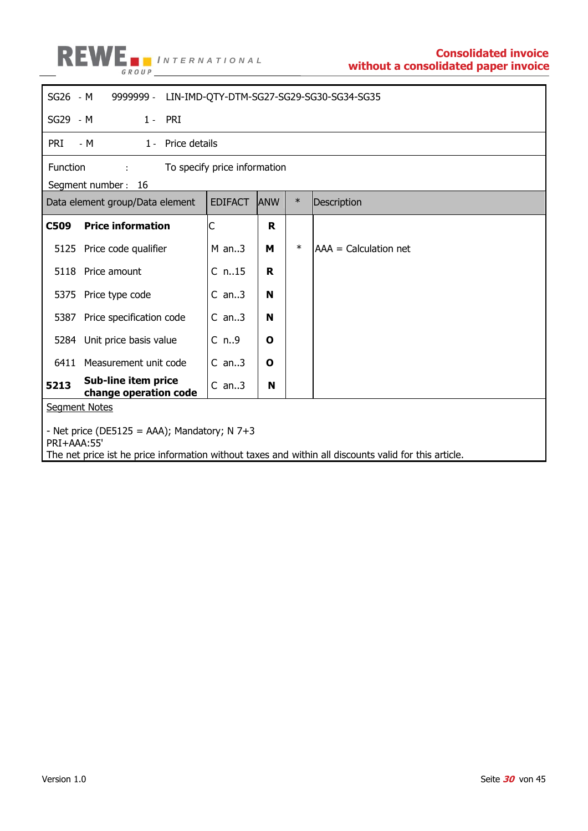

| $SG26 - M$<br>9999999 - LIN-IMD-QTY-DTM-SG27-SG29-SG30-SG34-SG35                                                                                                       |                   |            |        |                       |  |  |  |
|------------------------------------------------------------------------------------------------------------------------------------------------------------------------|-------------------|------------|--------|-----------------------|--|--|--|
| $1 - PRI$<br>SG29 - M                                                                                                                                                  |                   |            |        |                       |  |  |  |
| pri<br>- M                                                                                                                                                             | 1 - Price details |            |        |                       |  |  |  |
| Function<br>To specify price information<br>$2.000000$                                                                                                                 |                   |            |        |                       |  |  |  |
| Segment number: 16                                                                                                                                                     |                   |            |        |                       |  |  |  |
| Data element group/Data element                                                                                                                                        | <b>EDIFACT</b>    | <b>ANW</b> | $\ast$ | Description           |  |  |  |
| <b>C509</b><br><b>Price information</b>                                                                                                                                | C                 | R          |        |                       |  |  |  |
| 5125<br>Price code qualifier                                                                                                                                           | $M$ an3           | м          | $\ast$ | AAA = Calculation net |  |  |  |
| 5118<br>Price amount                                                                                                                                                   | $C$ n15           | R          |        |                       |  |  |  |
| 5375 Price type code                                                                                                                                                   | $C$ an3           | N          |        |                       |  |  |  |
| Price specification code<br>5387                                                                                                                                       | $C$ an3           | N          |        |                       |  |  |  |
| 5284 Unit price basis value                                                                                                                                            | C <sub>n.9</sub>  | O          |        |                       |  |  |  |
| 6411 Measurement unit code                                                                                                                                             | $C$ an3           | O          |        |                       |  |  |  |
| Sub-line item price<br>5213<br>change operation code                                                                                                                   | $C$ an3           | N          |        |                       |  |  |  |
| <b>Segment Notes</b>                                                                                                                                                   |                   |            |        |                       |  |  |  |
| - Net price (DE5125 = AAA); Mandatory; N $7+3$<br>PRI+AAA:55'<br>The net price ist he price information without taxes and within all discounts valid for this article. |                   |            |        |                       |  |  |  |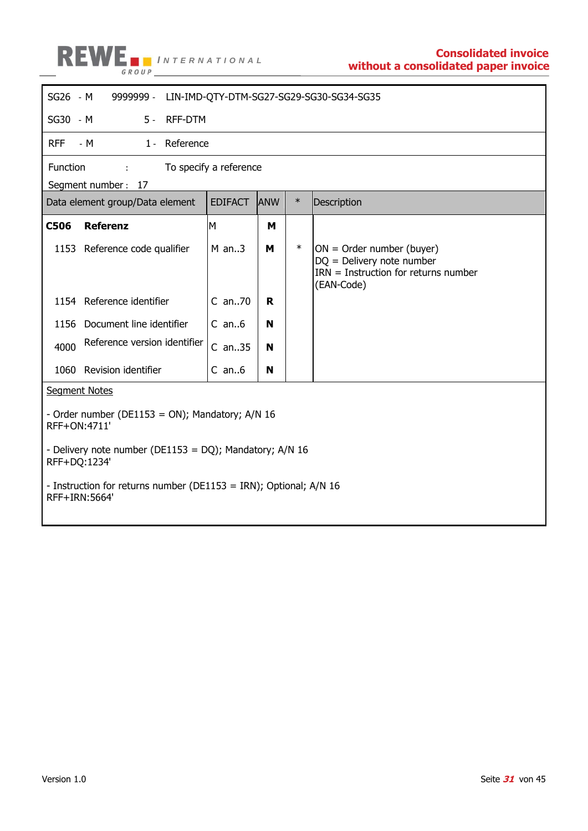

| SG26 - M                                                                                                                                   | 9999999 -                                                         |                        |            |        | LIN-IMD-QTY-DTM-SG27-SG29-SG30-SG34-SG35                                                                           |
|--------------------------------------------------------------------------------------------------------------------------------------------|-------------------------------------------------------------------|------------------------|------------|--------|--------------------------------------------------------------------------------------------------------------------|
| SG30 - M                                                                                                                                   | <b>RFF-DTM</b><br>$5 -$                                           |                        |            |        |                                                                                                                    |
| <b>RFF</b>                                                                                                                                 | $-M$<br>1 - Reference                                             |                        |            |        |                                                                                                                    |
| Function                                                                                                                                   | <b>Common</b>                                                     | To specify a reference |            |        |                                                                                                                    |
|                                                                                                                                            | Segment number: 17                                                |                        |            |        |                                                                                                                    |
|                                                                                                                                            | Data element group/Data element                                   | <b>EDIFACT</b>         | <b>ANW</b> | $\ast$ | Description                                                                                                        |
| <b>C506</b>                                                                                                                                | <b>Referenz</b>                                                   | M                      | м          |        |                                                                                                                    |
|                                                                                                                                            | 1153 Reference code qualifier                                     | $M$ an3                | м          | $\ast$ | $ON = Order number (buyer)$<br>$DQ =$ Delivery note number<br>$IRN = Instruction$ for returns number<br>(EAN-Code) |
|                                                                                                                                            | 1154 Reference identifier                                         | C an70                 | R          |        |                                                                                                                    |
|                                                                                                                                            | 1156 Document line identifier                                     | $C$ an $6$             | N          |        |                                                                                                                    |
| 4000                                                                                                                                       | Reference version identifier                                      | $C$ an35               | N          |        |                                                                                                                    |
| 1060                                                                                                                                       | Revision identifier                                               | $C$ an $6$             | N          |        |                                                                                                                    |
| <b>Segment Notes</b>                                                                                                                       |                                                                   |                        |            |        |                                                                                                                    |
| - Order number (DE1153 = ON); Mandatory; A/N 16<br>RFF+ON:4711'<br>- Delivery note number (DE1153 = DQ); Mandatory; A/N 16<br>RFF+DQ:1234' |                                                                   |                        |            |        |                                                                                                                    |
| RFF+IRN: 5664'                                                                                                                             | - Instruction for returns number (DE1153 = IRN); Optional; A/N 16 |                        |            |        |                                                                                                                    |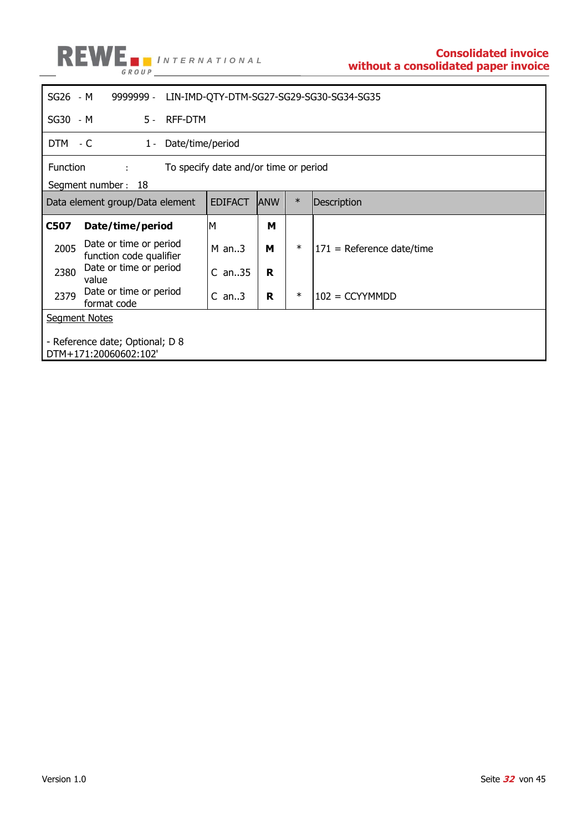

| SG26 - M | LIN-IMD-QTY-DTM-SG27-SG29-SG30-SG34-SG35<br>9999999 -    |                |             |        |                             |  |  |
|----------|----------------------------------------------------------|----------------|-------------|--------|-----------------------------|--|--|
| SG30 - M | 5 - RFF-DTM                                              |                |             |        |                             |  |  |
|          | DTM - C<br>Date/time/period<br>$1 -$                     |                |             |        |                             |  |  |
|          | Function<br>To specify date and/or time or period<br>÷.  |                |             |        |                             |  |  |
|          | Segment number: 18                                       |                |             |        |                             |  |  |
|          | Data element group/Data element                          | <b>EDIFACT</b> | <b>IANW</b> | $\ast$ | Description                 |  |  |
| C507     | Date/time/period                                         | M              | м           |        |                             |  |  |
| 2005     | Date or time or period<br>function code qualifier        | $M$ an3        | м           | $\ast$ | $171$ = Reference date/time |  |  |
| 2380     | Date or time or period<br>value                          | $C$ an35       | R           |        |                             |  |  |
| 2379     | Date or time or period<br>format code                    | $C$ an3        | R           | $\ast$ | $102 = CCYYMMDD$            |  |  |
|          | <b>Segment Notes</b>                                     |                |             |        |                             |  |  |
|          | - Reference date; Optional; D 8<br>DTM+171:20060602:102' |                |             |        |                             |  |  |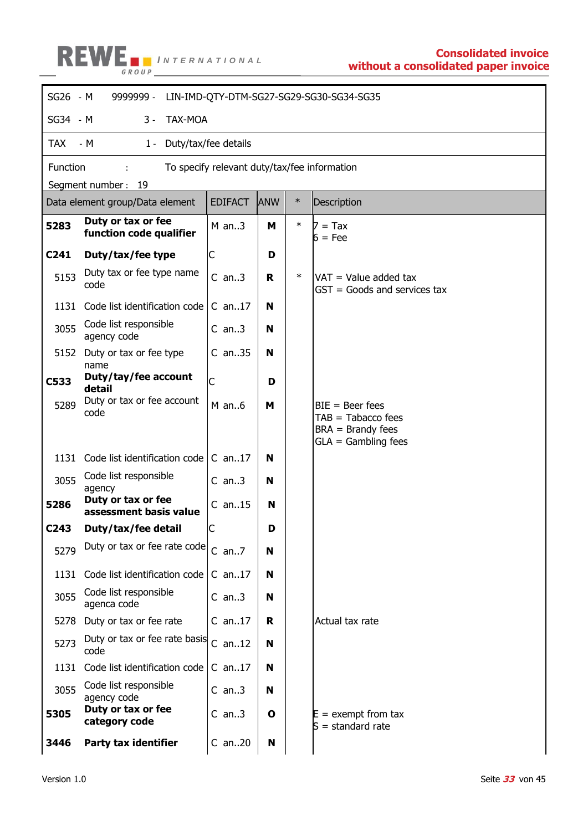

| SG26 - M         | 9999999 -<br>LIN-IMD-QTY-DTM-SG27-SG29-SG30-SG34-SG35 |                                              |            |        |                                                                                           |  |  |  |
|------------------|-------------------------------------------------------|----------------------------------------------|------------|--------|-------------------------------------------------------------------------------------------|--|--|--|
| SG34 - M         | $3 -$<br><b>TAX-MOA</b>                               |                                              |            |        |                                                                                           |  |  |  |
| <b>TAX</b>       | $-M$<br>Duty/tax/fee details<br>$1 -$                 |                                              |            |        |                                                                                           |  |  |  |
| Function         |                                                       | To specify relevant duty/tax/fee information |            |        |                                                                                           |  |  |  |
|                  | Segment number: 19                                    |                                              |            |        |                                                                                           |  |  |  |
|                  | Data element group/Data element                       | <b>EDIFACT</b>                               | <b>ANW</b> | $\ast$ | Description                                                                               |  |  |  |
| 5283             | Duty or tax or fee<br>function code qualifier         | $M$ an3                                      | м          | $\ast$ | $7 = Tax$<br>$6 = Fee$                                                                    |  |  |  |
| C <sub>241</sub> | Duty/tax/fee type                                     | С                                            | D          |        |                                                                                           |  |  |  |
| 5153             | Duty tax or fee type name<br>code                     | $C$ an3                                      | R.         | $\ast$ | VAT = Value added tax<br>$GST = Goods$ and services tax                                   |  |  |  |
| 1131             | Code list identification code                         | $C$ an17                                     | N          |        |                                                                                           |  |  |  |
| 3055             | Code list responsible<br>agency code                  | $C$ an3                                      | N          |        |                                                                                           |  |  |  |
| 5152             | Duty or tax or fee type<br>name                       | $C$ an35                                     | N          |        |                                                                                           |  |  |  |
| C533             | Duty/tay/fee account<br>detail                        | C                                            | D          |        |                                                                                           |  |  |  |
| 5289             | Duty or tax or fee account<br>code                    | $M$ an $6$                                   | м          |        | $BIE = Beer fees$<br>$TAB = Tabacco fees$<br>$BRA =$ Brandy fees<br>$GLA =$ Gambling fees |  |  |  |
| 1131             | Code list identification code                         | $C$ an17                                     | N          |        |                                                                                           |  |  |  |
| 3055             | Code list responsible<br>agency                       | $C$ an3                                      | N          |        |                                                                                           |  |  |  |
| 5286             | Duty or tax or fee<br>assessment basis value          | $C$ an15                                     | N          |        |                                                                                           |  |  |  |
| C <sub>243</sub> | Duty/tax/fee detail                                   | Ć                                            | D          |        |                                                                                           |  |  |  |
| 5279             | Duty or tax or fee rate code                          | $C$ an $7$                                   | N          |        |                                                                                           |  |  |  |
| 1131             | Code list identification code                         | $C$ an17                                     | N          |        |                                                                                           |  |  |  |
| 3055             | Code list responsible<br>agenca code                  | $C$ an3                                      | N          |        |                                                                                           |  |  |  |
| 5278             | Duty or tax or fee rate                               | $C$ an17                                     | R.         |        | Actual tax rate                                                                           |  |  |  |
| 5273             | Duty or tax or fee rate basis<br>code                 | $C$ an12                                     | N          |        |                                                                                           |  |  |  |
| 1131             | Code list identification code                         | $C$ an17                                     | N          |        |                                                                                           |  |  |  |
| 3055             | Code list responsible<br>agency code                  | $C$ an3                                      | N          |        |                                                                                           |  |  |  |
| 5305             | Duty or tax or fee<br>category code                   | $C$ an3                                      | O          |        | $E =$ exempt from tax<br>$S =$ standard rate                                              |  |  |  |
| 3446             | Party tax identifier                                  | $C$ an20                                     | N          |        |                                                                                           |  |  |  |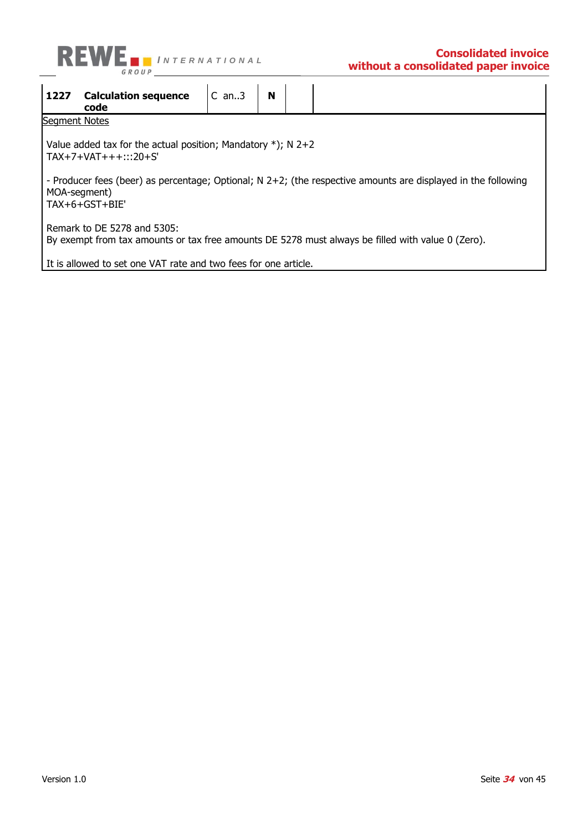

| 1227                                                                                                                             | <b>Calculation sequence</b><br>code                                                                                                                 | $C$ an3 | N |  |  |  |  |  |  |  |
|----------------------------------------------------------------------------------------------------------------------------------|-----------------------------------------------------------------------------------------------------------------------------------------------------|---------|---|--|--|--|--|--|--|--|
|                                                                                                                                  | <b>Segment Notes</b>                                                                                                                                |         |   |  |  |  |  |  |  |  |
| Value added tax for the actual position; Mandatory $*)$ ; N 2+2<br>$TAX+7+VAT++$ :::20+S'                                        |                                                                                                                                                     |         |   |  |  |  |  |  |  |  |
|                                                                                                                                  | - Producer fees (beer) as percentage; Optional; $N$ 2+2; (the respective amounts are displayed in the following<br>MOA-segment)<br>$TAX+6+GST+BIE'$ |         |   |  |  |  |  |  |  |  |
| Remark to DE 5278 and 5305:<br>By exempt from tax amounts or tax free amounts DE 5278 must always be filled with value 0 (Zero). |                                                                                                                                                     |         |   |  |  |  |  |  |  |  |
|                                                                                                                                  | It is allowed to set one VAT rate and two fees for one article.                                                                                     |         |   |  |  |  |  |  |  |  |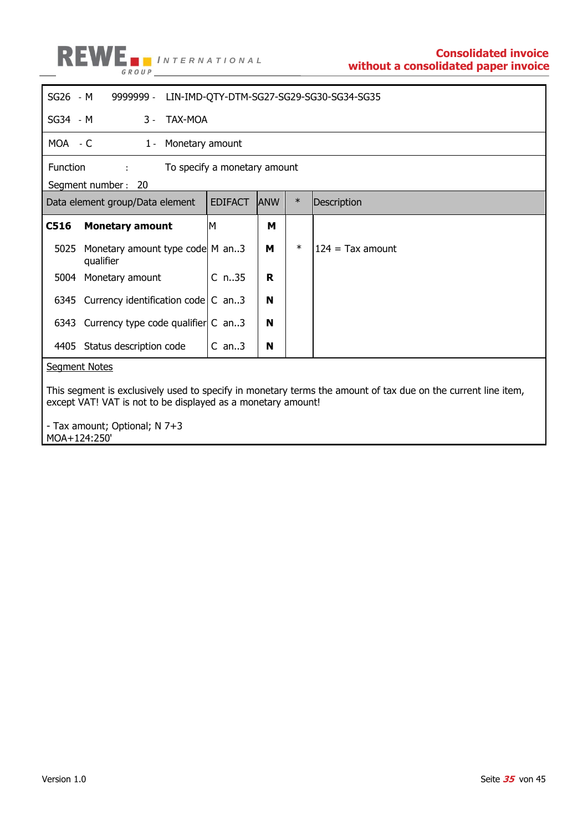

| SG26 - M                                 | 9999999 -<br>LIN-IMD-QTY-DTM-SG27-SG29-SG30-SG34-SG35        |                |                |            |        |                                                                                                               |
|------------------------------------------|--------------------------------------------------------------|----------------|----------------|------------|--------|---------------------------------------------------------------------------------------------------------------|
| SG34 - M                                 | $3 -$                                                        | <b>TAX-MOA</b> |                |            |        |                                                                                                               |
|                                          | MOA - C<br>Monetary amount<br>$1 -$                          |                |                |            |        |                                                                                                               |
| Function<br>To specify a monetary amount |                                                              |                |                |            |        |                                                                                                               |
|                                          | Segment number: 20                                           |                |                |            |        |                                                                                                               |
|                                          | Data element group/Data element                              |                | <b>EDIFACT</b> | <b>ANW</b> | $\ast$ | Description                                                                                                   |
| C516                                     | <b>Monetary amount</b>                                       |                | М              | м          |        |                                                                                                               |
| 5025                                     | Monetary amount type code M an3<br>qualifier                 |                |                | м          | $\ast$ | $124 = Tax$ amount                                                                                            |
| 5004                                     | Monetary amount                                              |                | $C$ n35        | R          |        |                                                                                                               |
|                                          | 6345 Currency identification code $ C $ an3                  |                |                | N          |        |                                                                                                               |
|                                          | 6343 Currency type code qualifier C an3                      |                |                | N          |        |                                                                                                               |
|                                          | 4405 Status description code                                 |                | $C$ an3        | N          |        |                                                                                                               |
| <b>Segment Notes</b>                     |                                                              |                |                |            |        |                                                                                                               |
|                                          | except VAT! VAT is not to be displayed as a monetary amount! |                |                |            |        | This segment is exclusively used to specify in monetary terms the amount of tax due on the current line item, |

- Tax amount; Optional; N 7+3 MOA+124:250'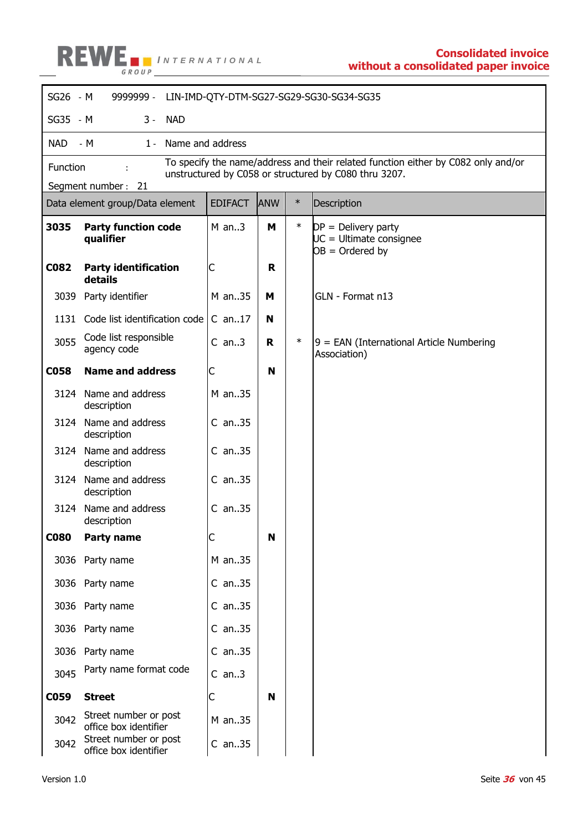

| SG26 - M    | 9999999 -                                      |                |            |        | LIN-IMD-QTY-DTM-SG27-SG29-SG30-SG34-SG35                                                                                                   |  |
|-------------|------------------------------------------------|----------------|------------|--------|--------------------------------------------------------------------------------------------------------------------------------------------|--|
| SG35 - M    | $3 -$<br><b>NAD</b>                            |                |            |        |                                                                                                                                            |  |
| <b>NAD</b>  | $-M$<br>Name and address<br>$1 -$              |                |            |        |                                                                                                                                            |  |
| Function    |                                                |                |            |        | To specify the name/address and their related function either by C082 only and/or<br>unstructured by C058 or structured by C080 thru 3207. |  |
|             | Segment number: 21                             |                |            |        |                                                                                                                                            |  |
|             | Data element group/Data element                | <b>EDIFACT</b> | <b>ANW</b> | $\ast$ | Description                                                                                                                                |  |
| 3035        | <b>Party function code</b><br>qualifier        | $M$ an3        | М          | $\ast$ | $DP = Delivery party$<br>$UC =$ Ultimate consignee<br>$OB = Ordered by$                                                                    |  |
| C082        | <b>Party identification</b><br>details         | C              | R          |        |                                                                                                                                            |  |
| 3039        | Party identifier                               | M an35         | м          |        | GLN - Format n13                                                                                                                           |  |
| 1131        | Code list identification code                  | $C$ an17       | N          |        |                                                                                                                                            |  |
| 3055        | Code list responsible<br>agency code           | $C$ an3        | R.         | $\ast$ | $9$ = EAN (International Article Numbering<br>Association)                                                                                 |  |
| <b>C058</b> | <b>Name and address</b>                        | C              | N          |        |                                                                                                                                            |  |
| 3124        | Name and address<br>description                | M an35         |            |        |                                                                                                                                            |  |
| 3124        | Name and address<br>description                | $C$ an. $.35$  |            |        |                                                                                                                                            |  |
| 3124        | Name and address<br>description                | $C$ an35       |            |        |                                                                                                                                            |  |
|             | 3124 Name and address<br>description           | $C$ an. $.35$  |            |        |                                                                                                                                            |  |
| 3124        | Name and address<br>description                | $C$ an35       |            |        |                                                                                                                                            |  |
| <b>C080</b> | Party name                                     | C              | N          |        |                                                                                                                                            |  |
| 3036        | Party name                                     | M an35         |            |        |                                                                                                                                            |  |
|             | 3036 Party name                                | $C$ an35       |            |        |                                                                                                                                            |  |
| 3036        | Party name                                     | $C$ an35       |            |        |                                                                                                                                            |  |
| 3036        | Party name                                     | $C$ an35       |            |        |                                                                                                                                            |  |
| 3036        | Party name                                     | $C$ an35       |            |        |                                                                                                                                            |  |
| 3045        | Party name format code                         | $C$ an3        |            |        |                                                                                                                                            |  |
| <b>C059</b> | <b>Street</b>                                  | C              | N          |        |                                                                                                                                            |  |
| 3042        | Street number or post<br>office box identifier | M an35         |            |        |                                                                                                                                            |  |
| 3042        | Street number or post<br>office box identifier | $C$ an35       |            |        |                                                                                                                                            |  |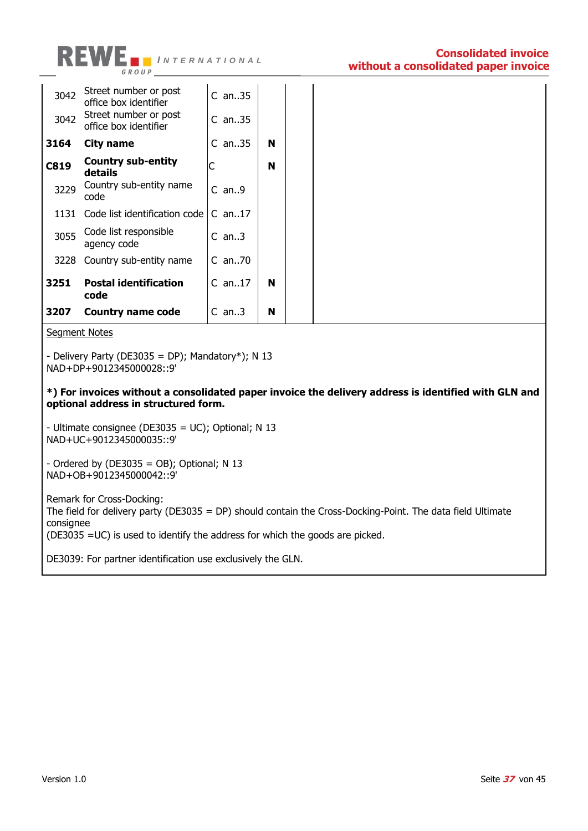

| 3042 | Street number or post<br>office box identifier | $C$ an35  |   |  |
|------|------------------------------------------------|-----------|---|--|
| 3042 | Street number or post<br>office box identifier | $C$ an35  |   |  |
| 3164 | City name                                      | $C$ an35  | N |  |
| C819 | <b>Country sub-entity</b><br>details           | C         | N |  |
| 3229 | Country sub-entity name<br>code                | $C$ an. 9 |   |  |
| 1131 | Code list identification code                  | $C$ an17  |   |  |
| 3055 | Code list responsible<br>agency code           | $C$ an3   |   |  |
|      | 3228 Country sub-entity name                   | $C$ an70  |   |  |
| 3251 | <b>Postal identification</b><br>code           | $C$ an17  | N |  |
| 3207 | Country name code                              | $C$ an3   | N |  |

Segment Notes

- Delivery Party (DE3035 = DP); Mandatory\*); N 13 NAD+DP+9012345000028::9'

**\*) For invoices without a consolidated paper invoice the delivery address is identified with GLN and optional address in structured form.**

- Ultimate consignee (DE3035 = UC); Optional; N 13 NAD+UC+9012345000035::9'

 $-$  Ordered by (DE3035 = OB); Optional; N 13 NAD+OB+9012345000042::9'

Remark for Cross-Docking: The field for delivery party (DE3035 = DP) should contain the Cross-Docking-Point. The data field Ultimate consignee (DE3035 =UC) is used to identify the address for which the goods are picked.

DE3039: For partner identification use exclusively the GLN.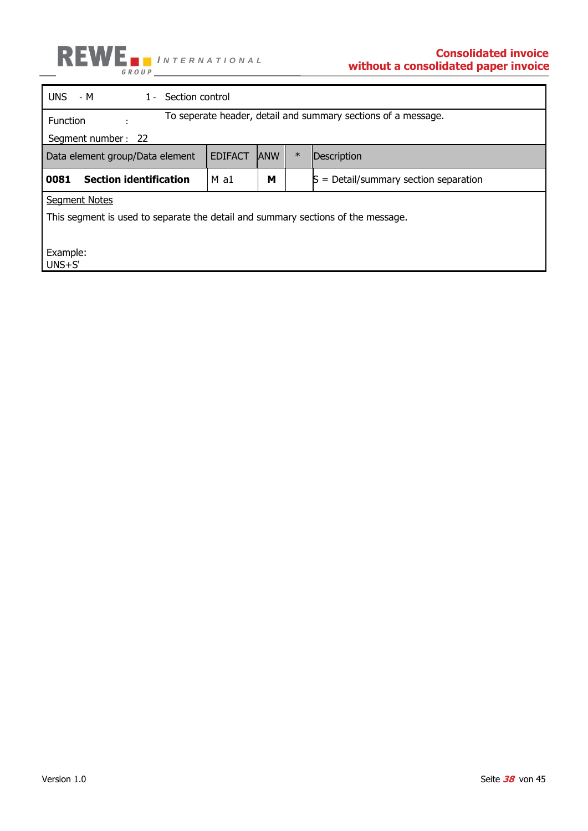

| UNS.<br>Section control<br>- M<br>$1 -$                                          |                |            |        |                                         |  |  |
|----------------------------------------------------------------------------------|----------------|------------|--------|-----------------------------------------|--|--|
| To seperate header, detail and summary sections of a message.<br><b>Function</b> |                |            |        |                                         |  |  |
| Segment number: 22                                                               |                |            |        |                                         |  |  |
| Data element group/Data element                                                  | <b>EDIFACT</b> | <b>ANW</b> | $\ast$ | Description                             |  |  |
| <b>Section identification</b><br>0081                                            | $M$ a1         | М          |        | $S = Detail/summary section separation$ |  |  |
| <b>Segment Notes</b>                                                             |                |            |        |                                         |  |  |
| This segment is used to separate the detail and summary sections of the message. |                |            |        |                                         |  |  |
|                                                                                  |                |            |        |                                         |  |  |
| Example:<br>$UNS + S'$                                                           |                |            |        |                                         |  |  |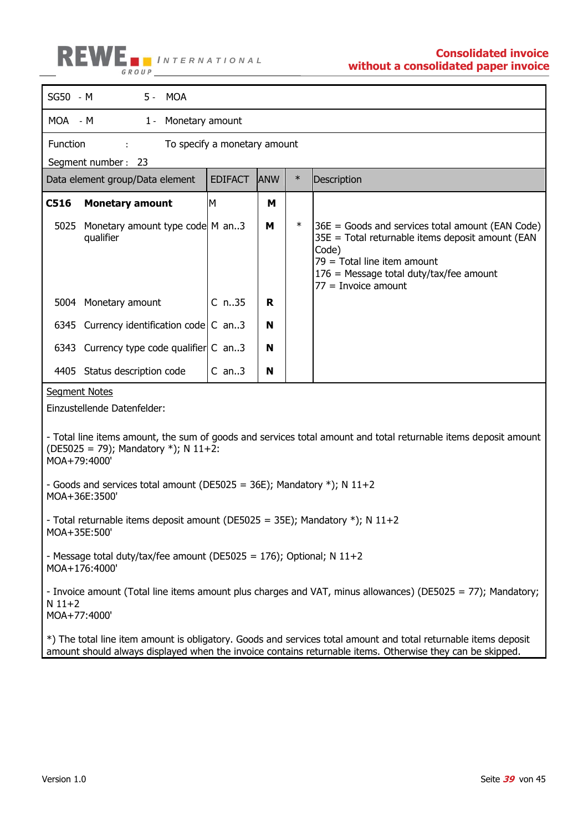

| SG50 - M                 | 5 - MOA                                                                                    |                              |            |        |                                                                                                                                                                                                                        |  |  |
|--------------------------|--------------------------------------------------------------------------------------------|------------------------------|------------|--------|------------------------------------------------------------------------------------------------------------------------------------------------------------------------------------------------------------------------|--|--|
|                          | MOA - M<br>1 - Monetary amount                                                             |                              |            |        |                                                                                                                                                                                                                        |  |  |
| Function                 |                                                                                            | To specify a monetary amount |            |        |                                                                                                                                                                                                                        |  |  |
|                          | Segment number: 23                                                                         |                              |            |        |                                                                                                                                                                                                                        |  |  |
|                          | Data element group/Data element                                                            | <b>EDIFACT</b>               | <b>ANW</b> | $\ast$ | Description                                                                                                                                                                                                            |  |  |
| C516                     | <b>Monetary amount</b>                                                                     | M                            | M          |        |                                                                                                                                                                                                                        |  |  |
|                          | 5025 Monetary amount type code M an3<br>qualifier                                          |                              | M          | $\ast$ | $36E$ = Goods and services total amount (EAN Code)<br>35E = Total returnable items deposit amount (EAN<br>Code)<br>$79$ = Total line item amount<br>$176$ = Message total duty/tax/fee amount<br>$77 =$ Invoice amount |  |  |
|                          | 5004 Monetary amount                                                                       | $C$ n35                      | R          |        |                                                                                                                                                                                                                        |  |  |
|                          | 6345 Currency identification code $\mathsf{C}$ an3                                         |                              | N          |        |                                                                                                                                                                                                                        |  |  |
|                          | 6343 Currency type code qualifier C an3                                                    |                              | N          |        |                                                                                                                                                                                                                        |  |  |
|                          | 4405 Status description code                                                               | $C$ an3                      | N          |        |                                                                                                                                                                                                                        |  |  |
| <b>Segment Notes</b>     |                                                                                            |                              |            |        |                                                                                                                                                                                                                        |  |  |
|                          | Einzustellende Datenfelder:                                                                |                              |            |        |                                                                                                                                                                                                                        |  |  |
|                          |                                                                                            |                              |            |        |                                                                                                                                                                                                                        |  |  |
| MOA+79:4000'             | (DE5025 = 79); Mandatory *); N 11+2:                                                       |                              |            |        | - Total line items amount, the sum of goods and services total amount and total returnable items deposit amount                                                                                                        |  |  |
|                          | - Goods and services total amount (DE5025 = 36E); Mandatory $*)$ ; N 11+2<br>MOA+36E:3500' |                              |            |        |                                                                                                                                                                                                                        |  |  |
| MOA+35E:500'             | - Total returnable items deposit amount (DE5025 = 35E); Mandatory *); N 11+2               |                              |            |        |                                                                                                                                                                                                                        |  |  |
|                          | - Message total duty/tax/fee amount (DE5025 = 176); Optional; N $11+2$<br>MOA+176:4000'    |                              |            |        |                                                                                                                                                                                                                        |  |  |
| $N$ 11+2<br>MOA+77:4000' |                                                                                            |                              |            |        | - Invoice amount (Total line items amount plus charges and VAT, minus allowances) (DE5025 = 77); Mandatory;                                                                                                            |  |  |
|                          |                                                                                            |                              |            |        | $\ket*$ The total line item amount is obligatory. Goods and services total amount and total returnable items deposit                                                                                                   |  |  |

amount should always displayed when the invoice contains returnable items. Otherwise they can be skipped.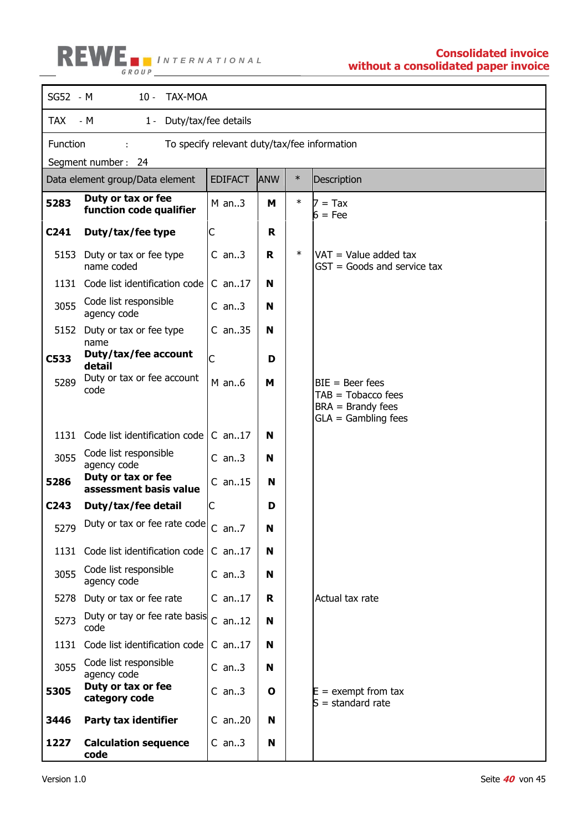# **I I I I INTERNATIONAL** *II* **Consolidated invoice** *n*

## **without a consolidated paper invoice**

| SG52 - M         | $10 -$<br><b>TAX-MOA</b>                      |                                              |            |        |                                                                  |  |  |
|------------------|-----------------------------------------------|----------------------------------------------|------------|--------|------------------------------------------------------------------|--|--|
| <b>TAX</b>       | Duty/tax/fee details<br>- M<br>$1 -$          |                                              |            |        |                                                                  |  |  |
| Function         |                                               | To specify relevant duty/tax/fee information |            |        |                                                                  |  |  |
|                  | Segment number: 24                            |                                              |            |        |                                                                  |  |  |
|                  | Data element group/Data element               | <b>EDIFACT</b>                               | <b>ANW</b> | $\ast$ | Description                                                      |  |  |
| 5283             | Duty or tax or fee<br>function code qualifier | $M$ an3                                      | М          | $\ast$ | $7 = Tax$<br>$6 = Fee$                                           |  |  |
| C <sub>241</sub> | Duty/tax/fee type                             | С                                            | R          |        |                                                                  |  |  |
| 5153             | Duty or tax or fee type<br>name coded         | $C$ an3                                      | R          | $\ast$ | $VAT = Value added tax$<br>$GST = Goods$ and service tax         |  |  |
| 1131             | Code list identification code                 | $C$ an17                                     | N          |        |                                                                  |  |  |
| 3055             | Code list responsible<br>agency code          | $C$ an3                                      | N          |        |                                                                  |  |  |
|                  | 5152 Duty or tax or fee type<br>name          | $C$ an35                                     | N          |        |                                                                  |  |  |
| C533             | Duty/tax/fee account<br>detail                | C                                            | D          |        |                                                                  |  |  |
| 5289             | Duty or tax or fee account<br>code            | $M$ an6                                      | M          |        | $BIE = Beer fees$<br>$TAB = Tobacco fees$<br>$BRA =$ Brandy fees |  |  |
|                  |                                               |                                              |            |        | $GLA =$ Gambling fees                                            |  |  |
| 1131             | Code list identification code                 | $C$ an. 17                                   | N          |        |                                                                  |  |  |
| 3055             | Code list responsible<br>agency code          | $C$ an3                                      | N          |        |                                                                  |  |  |
| 5286             | Duty or tax or fee<br>assessment basis value  | $C$ an15                                     | N          |        |                                                                  |  |  |
| C243             | Duty/tax/fee detail                           | C                                            | D          |        |                                                                  |  |  |
| 5279             | Duty or tax or fee rate code                  | $C$ an7                                      | N          |        |                                                                  |  |  |
| 1131             | Code list identification code                 | $C$ an17                                     | N          |        |                                                                  |  |  |
| 3055             | Code list responsible<br>agency code          | $C$ an3                                      | N          |        |                                                                  |  |  |
|                  | 5278 Duty or tax or fee rate                  | $C$ an17                                     | R          |        | Actual tax rate                                                  |  |  |
| 5273             | Duty or tay or fee rate basis<br>code         | $C$ an12                                     | N          |        |                                                                  |  |  |
|                  | 1131 Code list identification code            | $C$ an17                                     | N          |        |                                                                  |  |  |
| 3055             | Code list responsible<br>agency code          | $C$ an3                                      | N          |        |                                                                  |  |  |
| 5305             | Duty or tax or fee<br>category code           | $C$ an3                                      | O          |        | $E =$ exempt from tax<br>$S =$ standard rate                     |  |  |
| 3446             | <b>Party tax identifier</b>                   | $C$ an20                                     | N          |        |                                                                  |  |  |
| 1227             | <b>Calculation sequence</b><br>code           | $C$ an3                                      | N          |        |                                                                  |  |  |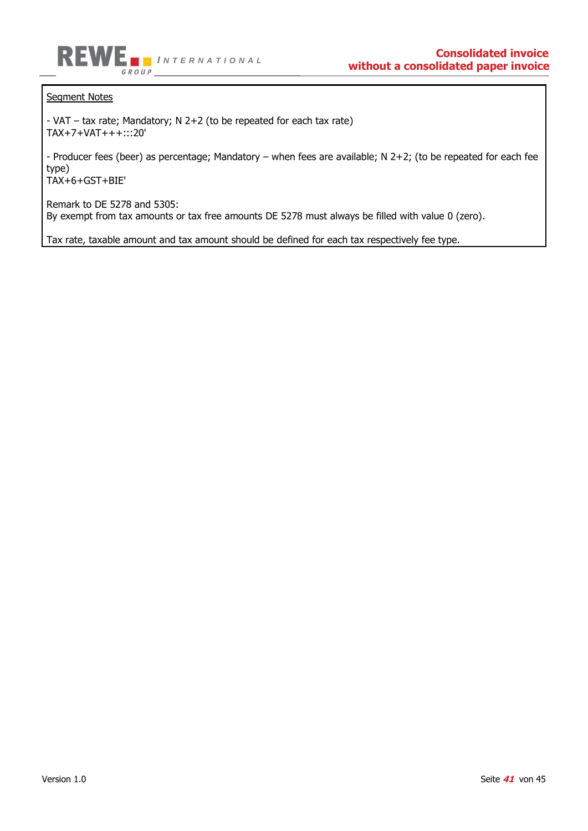

Segment Notes

- VAT – tax rate; Mandatory; N 2+2 (to be repeated for each tax rate) TAX+7+VAT+++:::20'

- Producer fees (beer) as percentage; Mandatory – when fees are available; N 2+2; (to be repeated for each fee type)

TAX+6+GST+BIE'

Remark to DE 5278 and 5305: By exempt from tax amounts or tax free amounts DE 5278 must always be filled with value 0 (zero).

Tax rate, taxable amount and tax amount should be defined for each tax respectively fee type.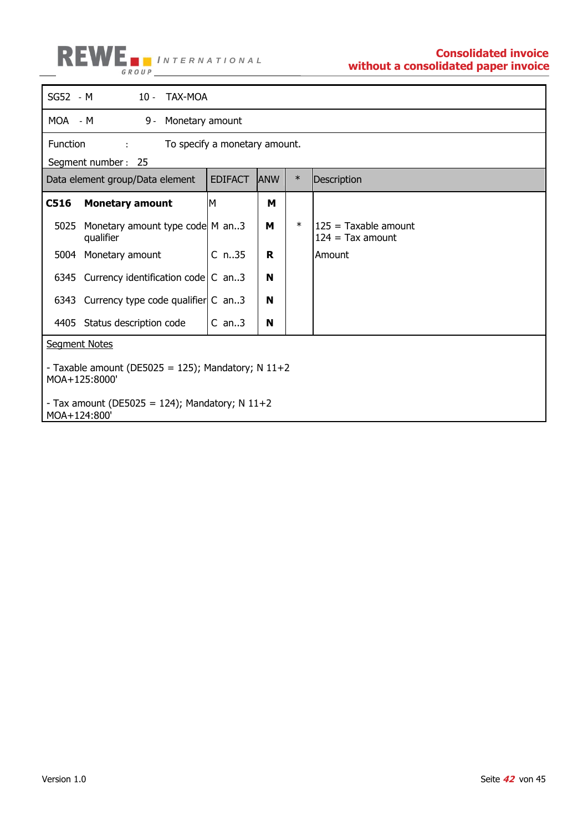

| SG52 - M                                                                                                              | 10 - TAX-MOA                                          |    |        |                                            |  |  |  |
|-----------------------------------------------------------------------------------------------------------------------|-------------------------------------------------------|----|--------|--------------------------------------------|--|--|--|
| MOA - M<br>9 -                                                                                                        | Monetary amount                                       |    |        |                                            |  |  |  |
| Function<br>$\mathcal{L}$                                                                                             | To specify a monetary amount.                         |    |        |                                            |  |  |  |
| Segment number: 25                                                                                                    |                                                       |    |        |                                            |  |  |  |
| Data element group/Data element                                                                                       | $\ast$<br><b>EDIFACT</b><br><b>ANW</b><br>Description |    |        |                                            |  |  |  |
| C516<br><b>Monetary amount</b>                                                                                        | M                                                     | м  |        |                                            |  |  |  |
| Monetary amount type code M an3<br>5025<br>qualifier                                                                  |                                                       | м  | $\ast$ | 125 = Taxable amount<br>$124 = Tax amount$ |  |  |  |
| 5004 Monetary amount                                                                                                  | $C_{n.35}$                                            | R. |        | Amount                                     |  |  |  |
| 6345 Currency identification code $\mathsf{C}$ an3                                                                    |                                                       | N  |        |                                            |  |  |  |
| 6343 Currency type code qualifier C an3                                                                               |                                                       | N  |        |                                            |  |  |  |
| 4405 Status description code                                                                                          | $C$ an3                                               | N  |        |                                            |  |  |  |
| <b>Segment Notes</b>                                                                                                  |                                                       |    |        |                                            |  |  |  |
| - Taxable amount (DE5025 = 125); Mandatory; N 11+2<br>MOA+125:8000'<br>- Tax amount (DE5025 = 124); Mandatory; N 11+2 |                                                       |    |        |                                            |  |  |  |
| MOA+124:800'                                                                                                          |                                                       |    |        |                                            |  |  |  |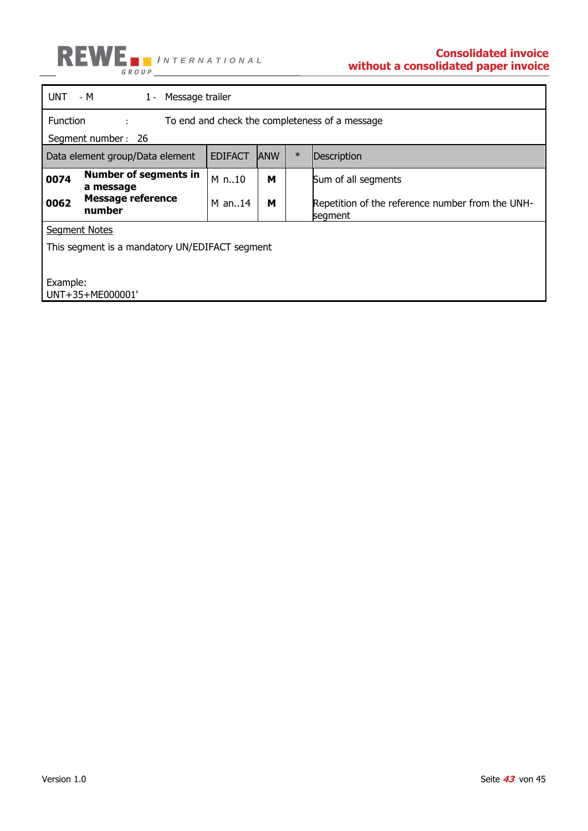

|                                                                                                            | $UNT - M$<br>1 - Message trailer          |          |            |        |                                                             |  |
|------------------------------------------------------------------------------------------------------------|-------------------------------------------|----------|------------|--------|-------------------------------------------------------------|--|
| Function<br>To end and check the completeness of a message<br><b>British College</b><br>Segment number: 26 |                                           |          |            |        |                                                             |  |
| <b>EDIFACT</b><br>Data element group/Data element                                                          |                                           |          | <b>ANW</b> | $\ast$ | Description                                                 |  |
| 0074                                                                                                       | <b>Number of segments in</b><br>a message | M n10    | м          |        | Sum of all segments                                         |  |
| 0062                                                                                                       | <b>Message reference</b><br>number        | $M$ an14 | м          |        | Repetition of the reference number from the UNH-<br>segment |  |
| <b>Segment Notes</b>                                                                                       |                                           |          |            |        |                                                             |  |
| This segment is a mandatory UN/EDIFACT segment                                                             |                                           |          |            |        |                                                             |  |
| Example:<br>UNT+35+ME000001'                                                                               |                                           |          |            |        |                                                             |  |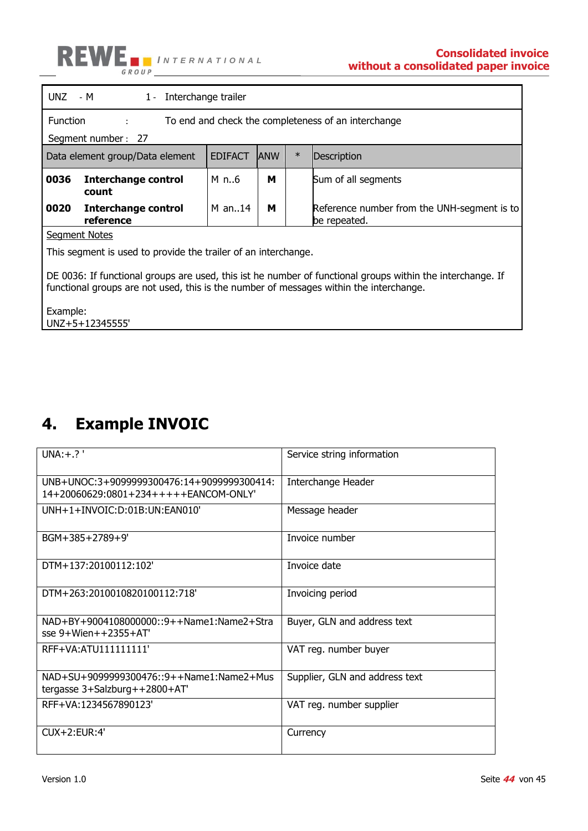

|                                                                                                                                                                                                      | $UNZ - M$<br>1 - Interchange trailer    |                |            |        |                                                             |  |
|------------------------------------------------------------------------------------------------------------------------------------------------------------------------------------------------------|-----------------------------------------|----------------|------------|--------|-------------------------------------------------------------|--|
| <b>Function</b><br>To end and check the completeness of an interchange<br>$\mathbf{r}$                                                                                                               |                                         |                |            |        |                                                             |  |
| Segment number: 27                                                                                                                                                                                   |                                         |                |            |        |                                                             |  |
|                                                                                                                                                                                                      | Data element group/Data element         | <b>EDIFACT</b> | <b>ANW</b> | $\ast$ | Description                                                 |  |
| 0036                                                                                                                                                                                                 | <b>Interchange control</b><br>count     | M n6           | м          |        | Sum of all segments                                         |  |
| 0020                                                                                                                                                                                                 | <b>Interchange control</b><br>reference | M an. $.14$    | м          |        | Reference number from the UNH-segment is to<br>be repeated. |  |
| <b>Segment Notes</b>                                                                                                                                                                                 |                                         |                |            |        |                                                             |  |
| This segment is used to provide the trailer of an interchange.                                                                                                                                       |                                         |                |            |        |                                                             |  |
| DE 0036: If functional groups are used, this ist he number of functional groups within the interchange. If<br>functional groups are not used, this is the number of messages within the interchange. |                                         |                |            |        |                                                             |  |
| Example:<br>UNZ+5+12345555'                                                                                                                                                                          |                                         |                |            |        |                                                             |  |

## <span id="page-43-0"></span>**4. Example INVOIC**

| $UNA:+.?$                                                                           | Service string information     |
|-------------------------------------------------------------------------------------|--------------------------------|
| UNB+UNOC:3+9099999300476:14+9099999300414:<br>14+20060629:0801+234+++++EANCOM-ONLY' | Interchange Header             |
| UNH+1+INVOIC:D:01B:UN:EAN010'                                                       | Message header                 |
| BGM+385+2789+9'                                                                     | Invoice number                 |
| DTM+137:20100112:102'                                                               | Invoice date                   |
| DTM+263:2010010820100112:718'                                                       | Invoicing period               |
| NAD+BY+9004108000000::9++Name1:Name2+Stra<br>$sse$ 9+Wien++2355+AT                  | Buyer, GLN and address text    |
| RFF+VA: ATU111111111'                                                               | VAT reg. number buyer          |
| NAD+SU+9099999300476::9++Name1:Name2+Mus<br>tergasse 3+Salzburg++2800+AT'           | Supplier, GLN and address text |
| RFF+VA:1234567890123'                                                               | VAT reg. number supplier       |
| $ClIX + 2: FlIR:4'$                                                                 | Currency                       |